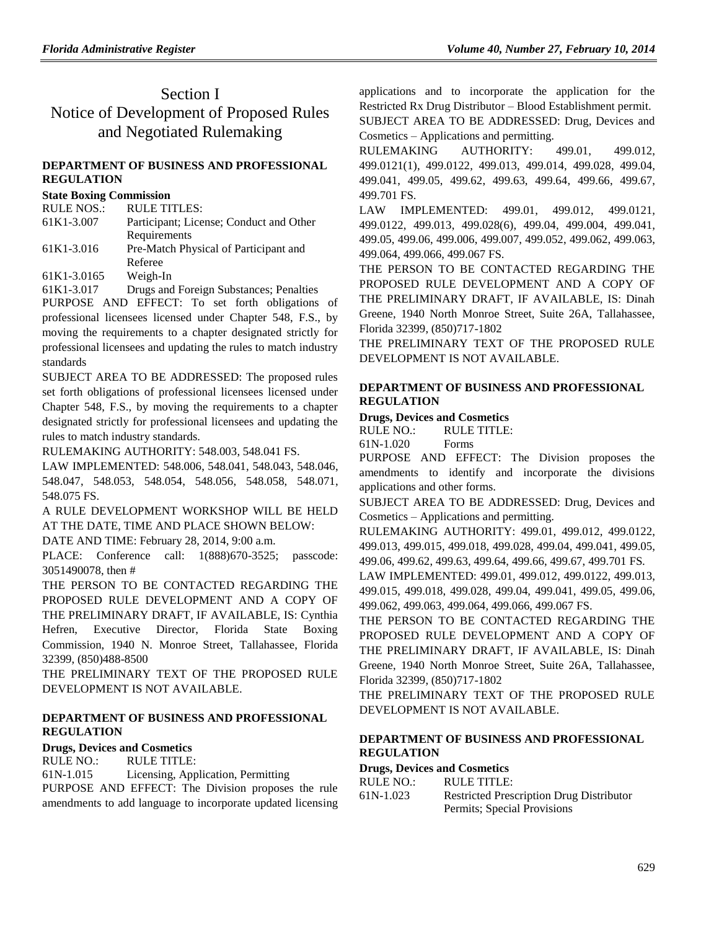# Section I Notice of Development of Proposed Rules and Negotiated Rulemaking

### **[DEPARTMENT OF BUSINESS AND PROFESSIONAL](https://www.flrules.org/gateway/department.asp?id=61)  [REGULATION](https://www.flrules.org/gateway/department.asp?id=61)**

#### **[State Boxing Commission](https://www.flrules.org/gateway/organization.asp?id=285)**

| <b>RULE TITLES:</b>                     |
|-----------------------------------------|
| Participant; License; Conduct and Other |
| Requirements                            |
| Pre-Match Physical of Participant and   |
| Referee                                 |
| Weigh-In                                |
|                                         |

[61K1-3.017](https://www.flrules.org/gateway/ruleNo.asp?id=61K1-3.017) Drugs and Foreign Substances; Penalties

PURPOSE AND EFFECT: To set forth obligations of professional licensees licensed under Chapter 548, F.S., by moving the requirements to a chapter designated strictly for professional licensees and updating the rules to match industry standards

SUBJECT AREA TO BE ADDRESSED: The proposed rules set forth obligations of professional licensees licensed under Chapter 548, F.S., by moving the requirements to a chapter designated strictly for professional licensees and updating the rules to match industry standards.

RULEMAKING AUTHORITY: [548.003,](https://www.flrules.org/gateway/statute.asp?id=548.003) [548.041 FS.](https://www.flrules.org/gateway/statute.asp?id=%20548.041%20F.S.)

LAW IMPLEMENTED: [548.006,](https://www.flrules.org/gateway/statute.asp?id=548.006) [548.041,](https://www.flrules.org/gateway/statute.asp?id=%20548.041) [548.043,](https://www.flrules.org/gateway/statute.asp?id=%20548.043) [548.046,](https://www.flrules.org/gateway/statute.asp?id=%20548.046) [548.047,](https://www.flrules.org/gateway/statute.asp?id=%20548.047) [548.053,](https://www.flrules.org/gateway/statute.asp?id=%20548.053) [548.054,](https://www.flrules.org/gateway/statute.asp?id=%20548.054) [548.056,](https://www.flrules.org/gateway/statute.asp?id=%20548.056) [548.058,](https://www.flrules.org/gateway/statute.asp?id=%20548.058) [548.071,](https://www.flrules.org/gateway/statute.asp?id=%20548.071) [548.075 FS.](https://www.flrules.org/gateway/statute.asp?id=%20548.075%20F.S.)

A RULE DEVELOPMENT WORKSHOP WILL BE HELD AT THE DATE, TIME AND PLACE SHOWN BELOW:

DATE AND TIME: February 28, 2014, 9:00 a.m.

PLACE: Conference call: 1(888)670-3525; passcode: 3051490078, then #

THE PERSON TO BE CONTACTED REGARDING THE PROPOSED RULE DEVELOPMENT AND A COPY OF THE PRELIMINARY DRAFT, IF AVAILABLE, IS: Cynthia Hefren, Executive Director, Florida State Boxing Commission, 1940 N. Monroe Street, Tallahassee, Florida 32399, (850)488-8500

THE PRELIMINARY TEXT OF THE PROPOSED RULE DEVELOPMENT IS NOT AVAILABLE.

## **[DEPARTMENT OF BUSINESS AND PROFESSIONAL](https://www.flrules.org/gateway/department.asp?id=61)  [REGULATION](https://www.flrules.org/gateway/department.asp?id=61)**

## **[Drugs, Devices and Cosmetics](https://www.flrules.org/gateway/organization.asp?id=1057)**

RULE NO.: RULE TITLE: [61N-1.015](https://www.flrules.org/gateway/ruleNo.asp?id=61N-1.015) Licensing, Application, Permitting PURPOSE AND EFFECT: The Division proposes the rule amendments to add language to incorporate updated licensing

applications and to incorporate the application for the Restricted Rx Drug Distributor – Blood Establishment permit. SUBJECT AREA TO BE ADDRESSED: Drug, Devices and Cosmetics – Applications and permitting.

RULEMAKING AUTHORITY: [499.01,](https://www.flrules.org/gateway/statute.asp?id=499.01) [499.012,](https://www.flrules.org/gateway/statute.asp?id=%20499.012) [499.0121\(1\),](https://www.flrules.org/gateway/statute.asp?id=%20499.0121(1)) [499.0122,](https://www.flrules.org/gateway/statute.asp?id=%20499.0122) [499.013,](https://www.flrules.org/gateway/statute.asp?id=%20499.013) [499.014,](https://www.flrules.org/gateway/statute.asp?id=%20499.014) [499.028,](https://www.flrules.org/gateway/statute.asp?id=%20499.028) [499.04,](https://www.flrules.org/gateway/statute.asp?id=%20499.04) [499.041,](https://www.flrules.org/gateway/statute.asp?id=%20499.041) [499.05,](https://www.flrules.org/gateway/statute.asp?id=%20499.05) [499.62,](https://www.flrules.org/gateway/statute.asp?id=%20499.62) [499.63,](https://www.flrules.org/gateway/statute.asp?id=%20499.63) [499.64,](https://www.flrules.org/gateway/statute.asp?id=%20499.64) [499.66,](https://www.flrules.org/gateway/statute.asp?id=%20499.66) [499.67,](https://www.flrules.org/gateway/statute.asp?id=%20499.67) [499.701 FS.](https://www.flrules.org/gateway/statute.asp?id=%20499.701%20FS.)

LAW IMPLEMENTED: [499.01,](https://www.flrules.org/gateway/statute.asp?id=499.01) [499.012,](https://www.flrules.org/gateway/statute.asp?id=%20499.012) [499.0121,](https://www.flrules.org/gateway/statute.asp?id=%20499.0121) [499.0122,](https://www.flrules.org/gateway/statute.asp?id=%20499.0122) [499.013,](https://www.flrules.org/gateway/statute.asp?id=%20499.013) [499.028\(6\),](https://www.flrules.org/gateway/statute.asp?id=%20499.028(6)) [499.04,](https://www.flrules.org/gateway/statute.asp?id=%20499.04) [499.004,](https://www.flrules.org/gateway/statute.asp?id=%20499.004) [499.041,](https://www.flrules.org/gateway/statute.asp?id=%20499.041) [499.05,](https://www.flrules.org/gateway/statute.asp?id=%20499.05) [499.06,](https://www.flrules.org/gateway/statute.asp?id=%20499.06) [499.006,](https://www.flrules.org/gateway/statute.asp?id=%20499.006) [499.007,](https://www.flrules.org/gateway/statute.asp?id=%20499.007) [499.052,](https://www.flrules.org/gateway/statute.asp?id=%20499.052) [499.062,](https://www.flrules.org/gateway/statute.asp?id=%20499.062) [499.063,](https://www.flrules.org/gateway/statute.asp?id=%20499.063) [499.064,](https://www.flrules.org/gateway/statute.asp?id=%20499.064) [499.066,](https://www.flrules.org/gateway/statute.asp?id=%20499.066) [499.067 FS.](https://www.flrules.org/gateway/statute.asp?id=%20499.067%20FS.%20)

THE PERSON TO BE CONTACTED REGARDING THE PROPOSED RULE DEVELOPMENT AND A COPY OF THE PRELIMINARY DRAFT, IF AVAILABLE, IS: Dinah Greene, 1940 North Monroe Street, Suite 26A, Tallahassee, Florida 32399, (850)717-1802

THE PRELIMINARY TEXT OF THE PROPOSED RULE DEVELOPMENT IS NOT AVAILABLE.

### **[DEPARTMENT OF BUSINESS AND PROFESSIONAL](https://www.flrules.org/gateway/department.asp?id=61)  [REGULATION](https://www.flrules.org/gateway/department.asp?id=61)**

#### **[Drugs, Devices and Cosmetics](https://www.flrules.org/gateway/organization.asp?id=1057)**

RULE NO.: RULE TITLE:

[61N-1.020](https://www.flrules.org/gateway/ruleNo.asp?id=61N-1.020) Forms

PURPOSE AND EFFECT: The Division proposes the amendments to identify and incorporate the divisions applications and other forms.

SUBJECT AREA TO BE ADDRESSED: Drug, Devices and Cosmetics – Applications and permitting.

RULEMAKING AUTHORITY: [499.01,](https://www.flrules.org/gateway/statute.asp?id=499.01) [499.012,](https://www.flrules.org/gateway/statute.asp?id=%20499.012) [499.0122,](https://www.flrules.org/gateway/statute.asp?id=%20499.0122) [499.013,](https://www.flrules.org/gateway/statute.asp?id=%20499.013) [499.015,](https://www.flrules.org/gateway/statute.asp?id=%20499.015) [499.018,](https://www.flrules.org/gateway/statute.asp?id=%20499.018) [499.028,](https://www.flrules.org/gateway/statute.asp?id=%20499.028) [499.04,](https://www.flrules.org/gateway/statute.asp?id=%20499.04) [499.041,](https://www.flrules.org/gateway/statute.asp?id=%20499.041) [499.05,](https://www.flrules.org/gateway/statute.asp?id=%20499.05) [499.06,](https://www.flrules.org/gateway/statute.asp?id=%20499.06) [499.62,](https://www.flrules.org/gateway/statute.asp?id=%20499.62) [499.63,](https://www.flrules.org/gateway/statute.asp?id=%20499.63) [499.64,](https://www.flrules.org/gateway/statute.asp?id=%20499.64) [499.66,](https://www.flrules.org/gateway/statute.asp?id=%20499.66) [499.67,](https://www.flrules.org/gateway/statute.asp?id=%20499.67) [499.701 FS.](https://www.flrules.org/gateway/statute.asp?id=%20499.701%20FS.)

LAW IMPLEMENTED: [499.01,](https://www.flrules.org/gateway/statute.asp?id=499.01) [499.012,](https://www.flrules.org/gateway/statute.asp?id=%20499.012) [499.0122,](https://www.flrules.org/gateway/statute.asp?id=%20499.0122) [499.013,](https://www.flrules.org/gateway/statute.asp?id=%20499.013) [499.015,](https://www.flrules.org/gateway/statute.asp?id=%20499.015) [499.018,](https://www.flrules.org/gateway/statute.asp?id=%20499.018) [499.028,](https://www.flrules.org/gateway/statute.asp?id=%20499.028) [499.04,](https://www.flrules.org/gateway/statute.asp?id=%20499.04) [499.041,](https://www.flrules.org/gateway/statute.asp?id=%20499.041) [499.05,](https://www.flrules.org/gateway/statute.asp?id=%20499.05) [499.06,](https://www.flrules.org/gateway/statute.asp?id=%20499.06) [499.062,](https://www.flrules.org/gateway/statute.asp?id=%20499.062) [499.063,](https://www.flrules.org/gateway/statute.asp?id=%20499.063) [499.064,](https://www.flrules.org/gateway/statute.asp?id=%20499.064) [499.066,](https://www.flrules.org/gateway/statute.asp?id=%20499.066) [499.067 FS.](https://www.flrules.org/gateway/statute.asp?id=%20499.067%20FS.%20)

THE PERSON TO BE CONTACTED REGARDING THE PROPOSED RULE DEVELOPMENT AND A COPY OF THE PRELIMINARY DRAFT, IF AVAILABLE, IS: Dinah Greene, 1940 North Monroe Street, Suite 26A, Tallahassee, Florida 32399, (850)717-1802

THE PRELIMINARY TEXT OF THE PROPOSED RULE DEVELOPMENT IS NOT AVAILABLE.

### **[DEPARTMENT OF BUSINESS AND PROFESSIONAL](https://www.flrules.org/gateway/department.asp?id=61)  [REGULATION](https://www.flrules.org/gateway/department.asp?id=61)**

#### **[Drugs, Devices and Cosmetics](https://www.flrules.org/gateway/organization.asp?id=1057)**

| RULE NO.: | RULE TITLE:                                     |  |
|-----------|-------------------------------------------------|--|
| 61N-1.023 | <b>Restricted Prescription Drug Distributor</b> |  |
|           | Permits; Special Provisions                     |  |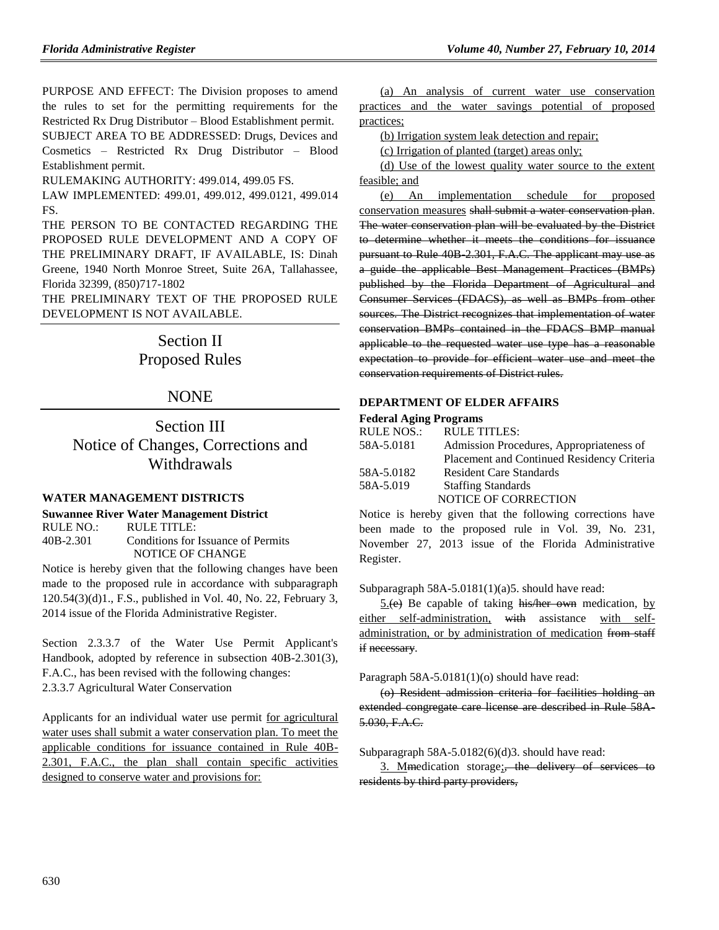PURPOSE AND EFFECT: The Division proposes to amend the rules to set for the permitting requirements for the Restricted Rx Drug Distributor – Blood Establishment permit.

SUBJECT AREA TO BE ADDRESSED: Drugs, Devices and Cosmetics – Restricted Rx Drug Distributor – Blood Establishment permit.

RULEMAKING AUTHORITY: [499.014,](https://www.flrules.org/gateway/statute.asp?id=499.014) [499.05 FS.](https://www.flrules.org/gateway/statute.asp?id=%20499.05%20FS.)

LAW IMPLEMENTED: [499.01,](https://www.flrules.org/gateway/statute.asp?id=499.01) [499.012,](https://www.flrules.org/gateway/statute.asp?id=%20499.012) [499.0121,](https://www.flrules.org/gateway/statute.asp?id=%20499.0121) [499.014](https://www.flrules.org/gateway/statute.asp?id=%20499.014%20FS.%20)  [FS.](https://www.flrules.org/gateway/statute.asp?id=%20499.014%20FS.%20)

THE PERSON TO BE CONTACTED REGARDING THE PROPOSED RULE DEVELOPMENT AND A COPY OF THE PRELIMINARY DRAFT, IF AVAILABLE, IS: Dinah Greene, 1940 North Monroe Street, Suite 26A, Tallahassee, Florida 32399, (850)717-1802

THE PRELIMINARY TEXT OF THE PROPOSED RULE DEVELOPMENT IS NOT AVAILABLE.

# Section II Proposed Rules

## **NONE**

## Section III Notice of Changes, Corrections and Withdrawals

## **[WATER MANAGEMENT DISTRICTS](https://www.flrules.org/gateway/department.asp?id=40)**

#### **[Suwannee River Water Management District](https://www.flrules.org/gateway/organization.asp?id=121)**

RULE NO.: RULE TITLE: [40B-2.301](https://www.flrules.org/gateway/ruleNo.asp?id=40B-2.301) Conditions for Issuance of Permits NOTICE OF CHANGE

Notice is hereby given that the following changes have been made to the proposed rule in accordance with subparagraph 120.54(3)(d)1., F.S., published in Vol. 40, No. 22, February 3, 2014 issue of the Florida Administrative Register.

Section 2.3.3.7 of the Water Use Permit Applicant's Handbook, adopted by reference in subsection 40B-2.301(3), F.A.C., has been revised with the following changes: 2.3.3.7 Agricultural Water Conservation

Applicants for an individual water use permit for agricultural water uses shall submit a water conservation plan. To meet the applicable conditions for issuance contained in Rule 40B-2.301, F.A.C., the plan shall contain specific activities designed to conserve water and provisions for:

(a) An analysis of current water use conservation practices and the water savings potential of proposed practices;

(b) Irrigation system leak detection and repair;

(c) Irrigation of planted (target) areas only;

(d) Use of the lowest quality water source to the extent feasible; and

(e) An implementation schedule for proposed conservation measures shall submit a water conservation plan. The water conservation plan will be evaluated by the District to determine whether it meets the conditions for issuance pursuant to Rule 40B-2.301, F.A.C. The applicant may use as a guide the applicable Best Management Practices (BMPs) published by the Florida Department of Agricultural and Consumer Services (FDACS), as well as BMPs from other sources. The District recognizes that implementation of water conservation BMPs contained in the FDACS BMP manual applicable to the requested water use type has a reasonable expectation to provide for efficient water use and meet the conservation requirements of District rules.

#### **[DEPARTMENT OF ELDER AFFAIRS](https://www.flrules.org/gateway/department.asp?id=58)**

#### **[Federal Aging Programs](https://www.flrules.org/gateway/organization.asp?id=179)**

| RULE TITLES:                               |
|--------------------------------------------|
| Admission Procedures, Appropriateness of   |
| Placement and Continued Residency Criteria |
| <b>Resident Care Standards</b>             |
| <b>Staffing Standards</b>                  |
| NOTICE OF CORRECTION                       |
|                                            |

Notice is hereby given that the following corrections have been made to the proposed rule in Vol. 39, No. 231, November 27, 2013 issue of the Florida Administrative Register.

Subparagraph 58A-5.0181(1)(a)5. should have read:

 $5(e)$  Be capable of taking his/her own medication, by either self-administration, with assistance with selfadministration, or by administration of medication from staff if necessary.

Paragraph 58A-5.0181(1)(o) should have read:

(o) Resident admission criteria for facilities holding an extended congregate care license are described in Rule 58A-5.030, F.A.C.

Subparagraph 58A-5.0182(6)(d)3. should have read:

3. Mimedication storage; the delivery of services to residents by third party providers,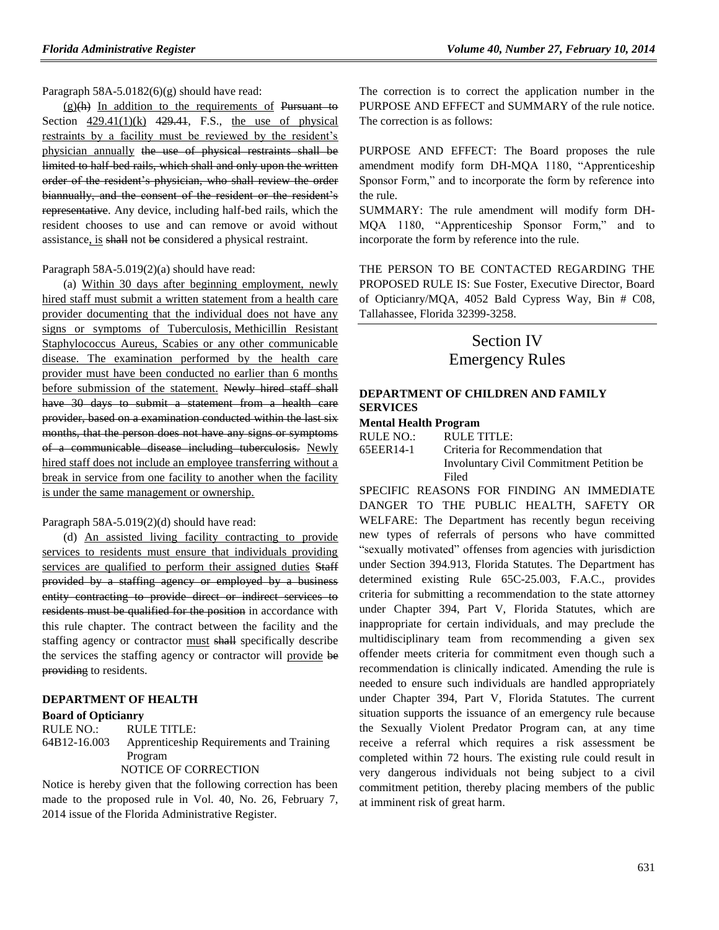Paragraph 58A-5.0182(6)(g) should have read:

 $(g)(h)$  In addition to the requirements of Pursuant to Section  $429.41(1)(k)$   $429.41$ , F.S., the use of physical restraints by a facility must be reviewed by the resident's physician annually the use of physical restraints shall be limited to half-bed rails, which shall and only upon the written order of the resident's physician, who shall review the order biannually, and the consent of the resident or the resident's representative. Any device, including half-bed rails, which the resident chooses to use and can remove or avoid without assistance, is shall not be considered a physical restraint.

#### Paragraph 58A-5.019(2)(a) should have read:

(a) Within 30 days after beginning employment, newly hired staff must submit a written statement from a health care provider documenting that the individual does not have any signs or symptoms of Tuberculosis, Methicillin Resistant Staphylococcus Aureus, Scabies or any other communicable disease. The examination performed by the health care provider must have been conducted no earlier than 6 months before submission of the statement. Newly hired staff shall have 30 days to submit a statement from a health care provider, based on a examination conducted within the last six months, that the person does not have any signs or symptoms of a communicable disease including tuberculosis. Newly hired staff does not include an employee transferring without a break in service from one facility to another when the facility is under the same management or ownership.

#### Paragraph 58A-5.019(2)(d) should have read:

(d) An assisted living facility contracting to provide services to residents must ensure that individuals providing services are qualified to perform their assigned duties Staff provided by a staffing agency or employed by a business entity contracting to provide direct or indirect services to residents must be qualified for the position in accordance with this rule chapter. The contract between the facility and the staffing agency or contractor must shall specifically describe the services the staffing agency or contractor will provide be providing to residents.

#### **[DEPARTMENT OF HEALTH](https://www.flrules.org/gateway/department.asp?id=64)**

#### **[Board of Opticianry](https://www.flrules.org/gateway/organization.asp?id=303)**

RULE NO.: RULE TITLE: [64B12-16.003](https://www.flrules.org/gateway/ruleNo.asp?id=64B12-16.003) Apprenticeship Requirements and Training Program NOTICE OF CORRECTION

Notice is hereby given that the following correction has been made to the proposed rule in Vol. 40, No. 26, February 7, 2014 issue of the Florida Administrative Register.

The correction is to correct the application number in the PURPOSE AND EFFECT and SUMMARY of the rule notice. The correction is as follows:

PURPOSE AND EFFECT: The Board proposes the rule amendment modify form DH-MQA 1180, "Apprenticeship Sponsor Form," and to incorporate the form by reference into the rule.

SUMMARY: The rule amendment will modify form DH-MQA 1180, "Apprenticeship Sponsor Form," and to incorporate the form by reference into the rule.

THE PERSON TO BE CONTACTED REGARDING THE PROPOSED RULE IS: Sue Foster, Executive Director, Board of Opticianry/MQA, 4052 Bald Cypress Way, Bin # C08, Tallahassee, Florida 32399-3258.

## Section IV Emergency Rules

#### **[DEPARTMENT OF CHILDREN AND FAMILY](https://www.flrules.org/gateway/department.asp?id=65)  [SERVICES](https://www.flrules.org/gateway/department.asp?id=65)**

#### **[Mental Health Program](https://www.flrules.org/gateway/organization.asp?id=344)**

RULE NO.: RULE TITLE:

[65EER14-1](https://www.flrules.org/gateway/ruleNo.asp?id=65EER14-1) Criteria for Recommendation that Involuntary Civil Commitment Petition be Filed

SPECIFIC REASONS FOR FINDING AN IMMEDIATE DANGER TO THE PUBLIC HEALTH, SAFETY OR WELFARE: The Department has recently begun receiving new types of referrals of persons who have committed "sexually motivated" offenses from agencies with jurisdiction under Section 394.913, Florida Statutes. The Department has determined existing Rule 65C-25.003, F.A.C., provides criteria for submitting a recommendation to the state attorney under Chapter 394, Part V, Florida Statutes, which are inappropriate for certain individuals, and may preclude the multidisciplinary team from recommending a given sex offender meets criteria for commitment even though such a recommendation is clinically indicated. Amending the rule is needed to ensure such individuals are handled appropriately under Chapter 394, Part V, Florida Statutes. The current situation supports the issuance of an emergency rule because the Sexually Violent Predator Program can, at any time receive a referral which requires a risk assessment be completed within 72 hours. The existing rule could result in very dangerous individuals not being subject to a civil commitment petition, thereby placing members of the public at imminent risk of great harm.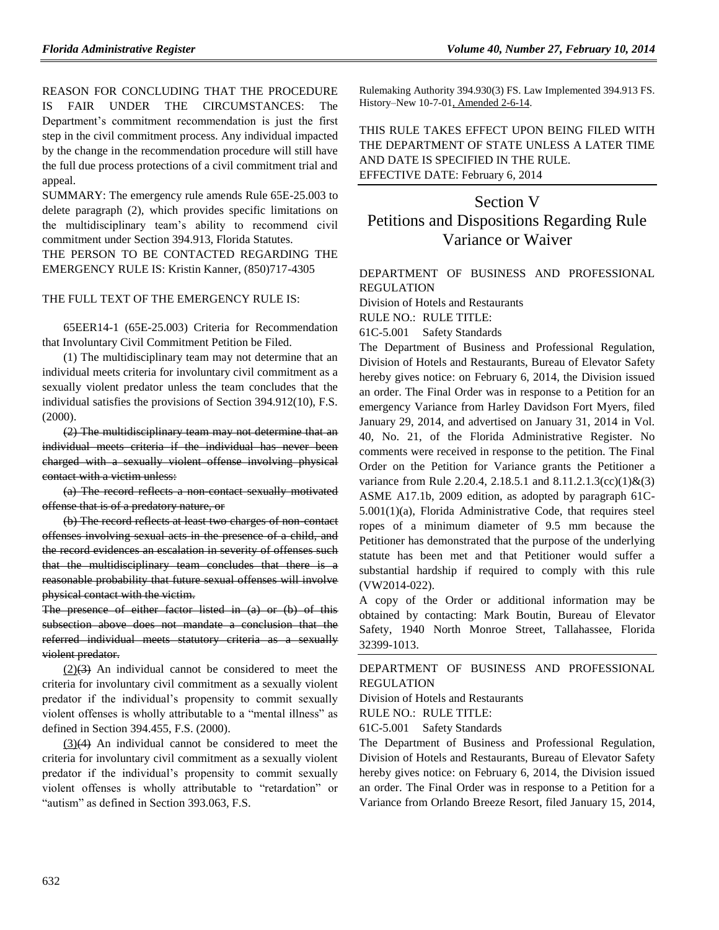REASON FOR CONCLUDING THAT THE PROCEDURE IS FAIR UNDER THE CIRCUMSTANCES: The Department's commitment recommendation is just the first step in the civil commitment process. Any individual impacted by the change in the recommendation procedure will still have the full due process protections of a civil commitment trial and appeal.

SUMMARY: The emergency rule amends Rule 65E-25.003 to delete paragraph (2), which provides specific limitations on the multidisciplinary team's ability to recommend civil commitment under Section 394.913, Florida Statutes.

THE PERSON TO BE CONTACTED REGARDING THE EMERGENCY RULE IS: Kristin Kanner, (850)717-4305

#### THE FULL TEXT OF THE EMERGENCY RULE IS:

65EER14-1 (65E-25.003) Criteria for Recommendation that Involuntary Civil Commitment Petition be Filed.

(1) The multidisciplinary team may not determine that an individual meets criteria for involuntary civil commitment as a sexually violent predator unless the team concludes that the individual satisfies the provisions of Section 394.912(10), F.S. (2000).

(2) The multidisciplinary team may not determine that an individual meets criteria if the individual has never been charged with a sexually violent offense involving physical contact with a victim unless:

(a) The record reflects a non-contact sexually motivated offense that is of a predatory nature, or

(b) The record reflects at least two charges of non-contact offenses involving sexual acts in the presence of a child, and the record evidences an escalation in severity of offenses such that the multidisciplinary team concludes that there is a reasonable probability that future sexual offenses will involve physical contact with the victim.

The presence of either factor listed in (a) or (b) of this subsection above does not mandate a conclusion that the referred individual meets statutory criteria as a sexually violent predator.

 $(2)(3)$  An individual cannot be considered to meet the criteria for involuntary civil commitment as a sexually violent predator if the individual's propensity to commit sexually violent offenses is wholly attributable to a "mental illness" as defined in Section 394.455, F.S. (2000).

(3)(4) An individual cannot be considered to meet the criteria for involuntary civil commitment as a sexually violent predator if the individual's propensity to commit sexually violent offenses is wholly attributable to "retardation" or "autism" as defined in Section 393.063, F.S.

Rulemaking Authority 394.930(3) FS. Law Implemented 394.913 FS. History–New 10-7-01, Amended 2-6-14.

THIS RULE TAKES EFFECT UPON BEING FILED WITH THE DEPARTMENT OF STATE UNLESS A LATER TIME AND DATE IS SPECIFIED IN THE RULE. EFFECTIVE DATE: February 6, 2014

# Section V Petitions and Dispositions Regarding Rule Variance or Waiver

## [DEPARTMENT OF BUSINESS AND PROFESSIONAL](https://www.flrules.org/gateway/department.asp?id=61)  [REGULATION](https://www.flrules.org/gateway/department.asp?id=61)

[Division of Hotels and Restaurants](https://www.flrules.org/gateway/organization.asp?id=249)

RULE NO.: RULE TITLE:

[61C-5.001](https://www.flrules.org/gateway/ruleNo.asp?id=61C-5.001) Safety Standards

The Department of Business and Professional Regulation, Division of Hotels and Restaurants, Bureau of Elevator Safety hereby gives notice: on February 6, 2014, the Division issued an order. The Final Order was in response to a Petition for an emergency Variance from Harley Davidson Fort Myers, filed January 29, 2014, and advertised on January 31, 2014 in Vol. 40, No. 21, of the Florida Administrative Register. No comments were received in response to the petition. The Final Order on the Petition for Variance grants the Petitioner a variance from Rule 2.20.4, 2.18.5.1 and 8.11.2.1.3(cc)(1)&(3) ASME A17.1b, 2009 edition, as adopted by paragraph 61C-5.001(1)(a), Florida Administrative Code, that requires steel ropes of a minimum diameter of 9.5 mm because the Petitioner has demonstrated that the purpose of the underlying statute has been met and that Petitioner would suffer a substantial hardship if required to comply with this rule (VW2014-022).

A copy of the Order or additional information may be obtained by contacting: Mark Boutin, Bureau of Elevator Safety, 1940 North Monroe Street, Tallahassee, Florida 32399-1013.

[DEPARTMENT OF BUSINESS AND PROFESSIONAL](https://www.flrules.org/gateway/department.asp?id=61)  [REGULATION](https://www.flrules.org/gateway/department.asp?id=61)

[Division of Hotels and Restaurants](https://www.flrules.org/gateway/organization.asp?id=249) RULE NO.: RULE TITLE:

[61C-5.001](https://www.flrules.org/gateway/ruleNo.asp?id=61C-5.001) Safety Standards

The Department of Business and Professional Regulation, Division of Hotels and Restaurants, Bureau of Elevator Safety hereby gives notice: on February 6, 2014, the Division issued an order. The Final Order was in response to a Petition for a Variance from Orlando Breeze Resort, filed January 15, 2014,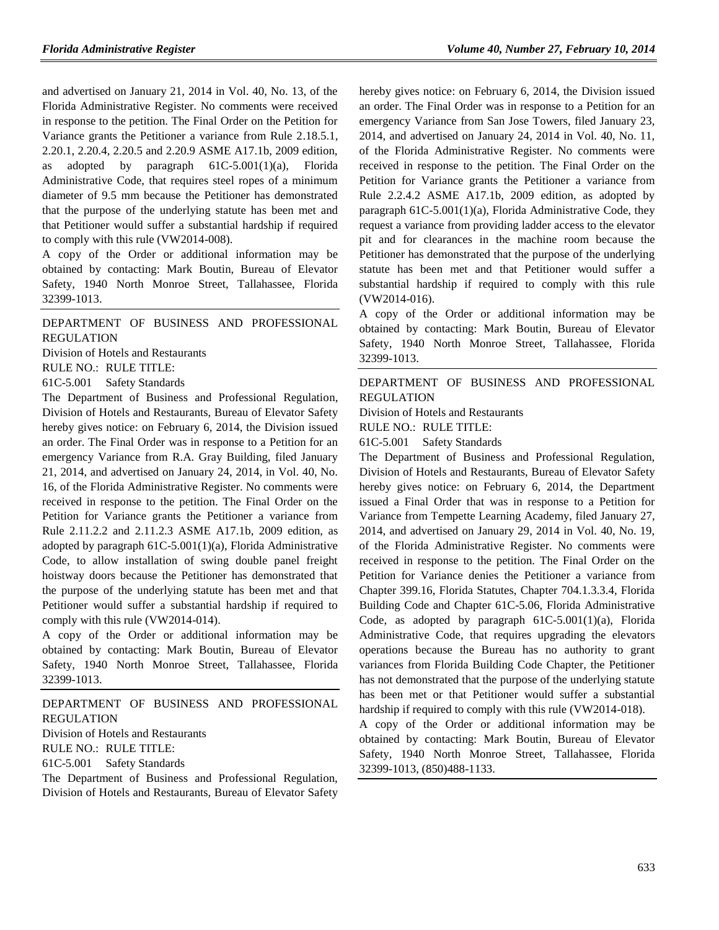and advertised on January 21, 2014 in Vol. 40, No. 13, of the Florida Administrative Register. No comments were received in response to the petition. The Final Order on the Petition for Variance grants the Petitioner a variance from Rule 2.18.5.1, 2.20.1, 2.20.4, 2.20.5 and 2.20.9 ASME A17.1b, 2009 edition, as adopted by paragraph 61C-5.001(1)(a), Florida Administrative Code, that requires steel ropes of a minimum diameter of 9.5 mm because the Petitioner has demonstrated that the purpose of the underlying statute has been met and that Petitioner would suffer a substantial hardship if required to comply with this rule (VW2014-008).

A copy of the Order or additional information may be obtained by contacting: Mark Boutin, Bureau of Elevator Safety, 1940 North Monroe Street, Tallahassee, Florida 32399-1013.

#### [DEPARTMENT OF BUSINESS AND PROFESSIONAL](https://www.flrules.org/gateway/department.asp?id=61)  [REGULATION](https://www.flrules.org/gateway/department.asp?id=61)

[Division of Hotels and Restaurants](https://www.flrules.org/gateway/organization.asp?id=249)

RULE NO.: RULE TITLE:

[61C-5.001](https://www.flrules.org/gateway/ruleNo.asp?id=61C-5.001) Safety Standards

The Department of Business and Professional Regulation, Division of Hotels and Restaurants, Bureau of Elevator Safety hereby gives notice: on February 6, 2014, the Division issued an order. The Final Order was in response to a Petition for an emergency Variance from R.A. Gray Building, filed January 21, 2014, and advertised on January 24, 2014, in Vol. 40, No. 16, of the Florida Administrative Register. No comments were received in response to the petition. The Final Order on the Petition for Variance grants the Petitioner a variance from Rule 2.11.2.2 and 2.11.2.3 ASME A17.1b, 2009 edition, as adopted by paragraph 61C-5.001(1)(a), Florida Administrative Code, to allow installation of swing double panel freight hoistway doors because the Petitioner has demonstrated that the purpose of the underlying statute has been met and that Petitioner would suffer a substantial hardship if required to comply with this rule (VW2014-014).

A copy of the Order or additional information may be obtained by contacting: Mark Boutin, Bureau of Elevator Safety, 1940 North Monroe Street, Tallahassee, Florida 32399-1013.

[DEPARTMENT OF BUSINESS AND PROFESSIONAL](https://www.flrules.org/gateway/department.asp?id=61)  [REGULATION](https://www.flrules.org/gateway/department.asp?id=61)

[Division of Hotels and Restaurants](https://www.flrules.org/gateway/organization.asp?id=249)

RULE NO.: RULE TITLE:

[61C-5.001](https://www.flrules.org/gateway/ruleNo.asp?id=61C-5.001) Safety Standards

The Department of Business and Professional Regulation, Division of Hotels and Restaurants, Bureau of Elevator Safety hereby gives notice: on February 6, 2014, the Division issued an order. The Final Order was in response to a Petition for an emergency Variance from San Jose Towers, filed January 23, 2014, and advertised on January 24, 2014 in Vol. 40, No. 11, of the Florida Administrative Register. No comments were received in response to the petition. The Final Order on the Petition for Variance grants the Petitioner a variance from Rule 2.2.4.2 ASME A17.1b, 2009 edition, as adopted by paragraph 61C-5.001(1)(a), Florida Administrative Code, they request a variance from providing ladder access to the elevator pit and for clearances in the machine room because the Petitioner has demonstrated that the purpose of the underlying statute has been met and that Petitioner would suffer a substantial hardship if required to comply with this rule (VW2014-016).

A copy of the Order or additional information may be obtained by contacting: Mark Boutin, Bureau of Elevator Safety, 1940 North Monroe Street, Tallahassee, Florida 32399-1013.

[DEPARTMENT OF BUSINESS AND PROFESSIONAL](https://www.flrules.org/gateway/department.asp?id=61)  [REGULATION](https://www.flrules.org/gateway/department.asp?id=61)

[Division of Hotels and Restaurants](https://www.flrules.org/gateway/organization.asp?id=249)

RULE NO.: RULE TITLE:

[61C-5.001](https://www.flrules.org/gateway/ruleNo.asp?id=61C-5.001) Safety Standards

The Department of Business and Professional Regulation, Division of Hotels and Restaurants, Bureau of Elevator Safety hereby gives notice: on February 6, 2014, the Department issued a Final Order that was in response to a Petition for Variance from Tempette Learning Academy, filed January 27, 2014, and advertised on January 29, 2014 in Vol. 40, No. 19, of the Florida Administrative Register. No comments were received in response to the petition. The Final Order on the Petition for Variance denies the Petitioner a variance from Chapter 399.16, Florida Statutes, Chapter 704.1.3.3.4, Florida Building Code and Chapter 61C-5.06, Florida Administrative Code, as adopted by paragraph 61C-5.001(1)(a), Florida Administrative Code, that requires upgrading the elevators operations because the Bureau has no authority to grant variances from Florida Building Code Chapter, the Petitioner has not demonstrated that the purpose of the underlying statute has been met or that Petitioner would suffer a substantial hardship if required to comply with this rule (VW2014-018).

A copy of the Order or additional information may be obtained by contacting: Mark Boutin, Bureau of Elevator Safety, 1940 North Monroe Street, Tallahassee, Florida 32399-1013, (850)488-1133.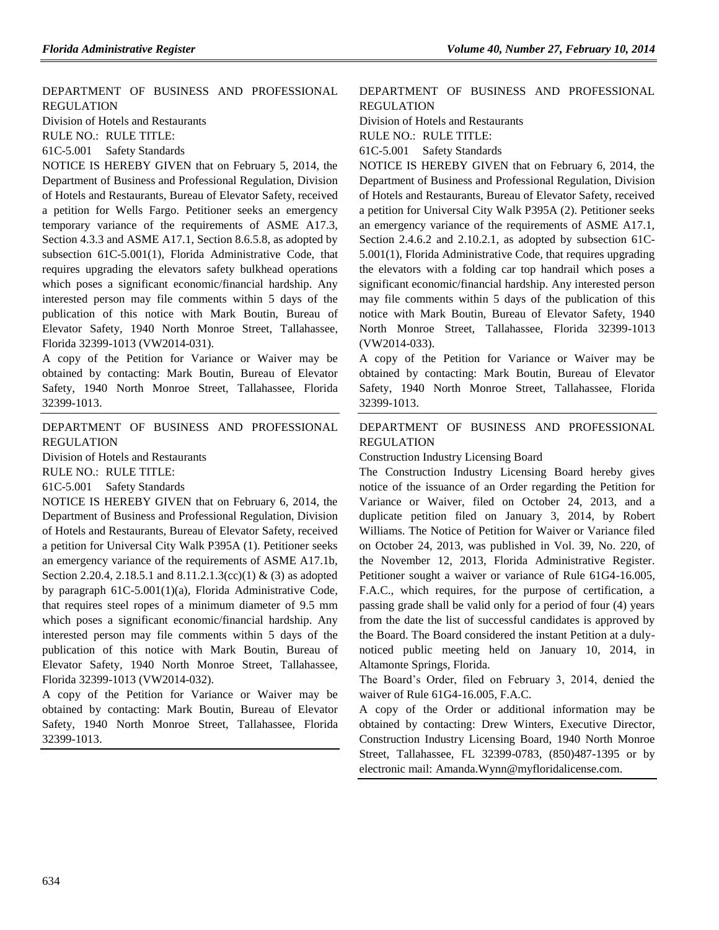[DEPARTMENT OF BUSINESS AND PROFESSIONAL](https://www.flrules.org/gateway/department.asp?id=61)  [REGULATION](https://www.flrules.org/gateway/department.asp?id=61)

[Division of Hotels and Restaurants](https://www.flrules.org/gateway/organization.asp?id=249)

RULE NO.: RULE TITLE:

[61C-5.001](https://www.flrules.org/gateway/ruleNo.asp?id=61C-5.001) Safety Standards

NOTICE IS HEREBY GIVEN that on February 5, 2014, the Department of Business and Professional Regulation, Division of Hotels and Restaurants, Bureau of Elevator Safety, received a petition for Wells Fargo. Petitioner seeks an emergency temporary variance of the requirements of ASME A17.3, Section 4.3.3 and ASME A17.1, Section 8.6.5.8, as adopted by subsection 61C-5.001(1), Florida Administrative Code, that requires upgrading the elevators safety bulkhead operations which poses a significant economic/financial hardship. Any interested person may file comments within 5 days of the publication of this notice with Mark Boutin, Bureau of Elevator Safety, 1940 North Monroe Street, Tallahassee, Florida 32399-1013 (VW2014-031).

A copy of the Petition for Variance or Waiver may be obtained by contacting: Mark Boutin, Bureau of Elevator Safety, 1940 North Monroe Street, Tallahassee, Florida 32399-1013.

### [DEPARTMENT OF BUSINESS AND PROFESSIONAL](https://www.flrules.org/gateway/department.asp?id=61)  [REGULATION](https://www.flrules.org/gateway/department.asp?id=61)

[Division of Hotels and Restaurants](https://www.flrules.org/gateway/organization.asp?id=249)

RULE NO.: RULE TITLE:

[61C-5.001](https://www.flrules.org/gateway/ruleNo.asp?id=61C-5.001) Safety Standards

NOTICE IS HEREBY GIVEN that on February 6, 2014, the Department of Business and Professional Regulation, Division of Hotels and Restaurants, Bureau of Elevator Safety, received a petition for Universal City Walk P395A (1). Petitioner seeks an emergency variance of the requirements of ASME A17.1b, Section 2.20.4, 2.18.5.1 and 8.11.2.1.3(cc)(1) & (3) as adopted by paragraph 61C-5.001(1)(a), Florida Administrative Code, that requires steel ropes of a minimum diameter of 9.5 mm which poses a significant economic/financial hardship. Any interested person may file comments within 5 days of the publication of this notice with Mark Boutin, Bureau of Elevator Safety, 1940 North Monroe Street, Tallahassee, Florida 32399-1013 (VW2014-032).

A copy of the Petition for Variance or Waiver may be obtained by contacting: Mark Boutin, Bureau of Elevator Safety, 1940 North Monroe Street, Tallahassee, Florida 32399-1013.

### [DEPARTMENT OF BUSINESS AND PROFESSIONAL](https://www.flrules.org/gateway/department.asp?id=61)  [REGULATION](https://www.flrules.org/gateway/department.asp?id=61)

[Division of Hotels and Restaurants](https://www.flrules.org/gateway/organization.asp?id=249)

RULE NO.: RULE TITLE:

[61C-5.001](https://www.flrules.org/gateway/ruleNo.asp?id=61C-5.001) Safety Standards

NOTICE IS HEREBY GIVEN that on February 6, 2014, the Department of Business and Professional Regulation, Division of Hotels and Restaurants, Bureau of Elevator Safety, received a petition for Universal City Walk P395A (2). Petitioner seeks an emergency variance of the requirements of ASME A17.1, Section 2.4.6.2 and 2.10.2.1, as adopted by subsection 61C-5.001(1), Florida Administrative Code, that requires upgrading the elevators with a folding car top handrail which poses a significant economic/financial hardship. Any interested person may file comments within 5 days of the publication of this notice with Mark Boutin, Bureau of Elevator Safety, 1940 North Monroe Street, Tallahassee, Florida 32399-1013 (VW2014-033).

A copy of the Petition for Variance or Waiver may be obtained by contacting: Mark Boutin, Bureau of Elevator Safety, 1940 North Monroe Street, Tallahassee, Florida 32399-1013.

[DEPARTMENT OF BUSINESS AND PROFESSIONAL](https://www.flrules.org/gateway/department.asp?id=61)  [REGULATION](https://www.flrules.org/gateway/department.asp?id=61)

[Construction Industry Licensing Board](https://www.flrules.org/gateway/organization.asp?id=274)

The Construction Industry Licensing Board hereby gives notice of the issuance of an Order regarding the Petition for Variance or Waiver, filed on October 24, 2013, and a duplicate petition filed on January 3, 2014, by Robert Williams. The Notice of Petition for Waiver or Variance filed on October 24, 2013, was published in Vol. 39, No. 220, of the November 12, 2013, Florida Administrative Register. Petitioner sought a waiver or variance of Rule 61G4-16.005, F.A.C., which requires, for the purpose of certification, a passing grade shall be valid only for a period of four (4) years from the date the list of successful candidates is approved by the Board. The Board considered the instant Petition at a dulynoticed public meeting held on January 10, 2014, in Altamonte Springs, Florida.

The Board's Order, filed on February 3, 2014, denied the waiver of Rule 61G4-16.005, F.A.C.

A copy of the Order or additional information may be obtained by contacting: Drew Winters, Executive Director, Construction Industry Licensing Board, 1940 North Monroe Street, Tallahassee, FL 32399-0783, (850)487-1395 or by electronic mail: [Amanda.Wynn@myfloridalicense.com.](mailto:Amanda.Wynn@myfloridalicense.com)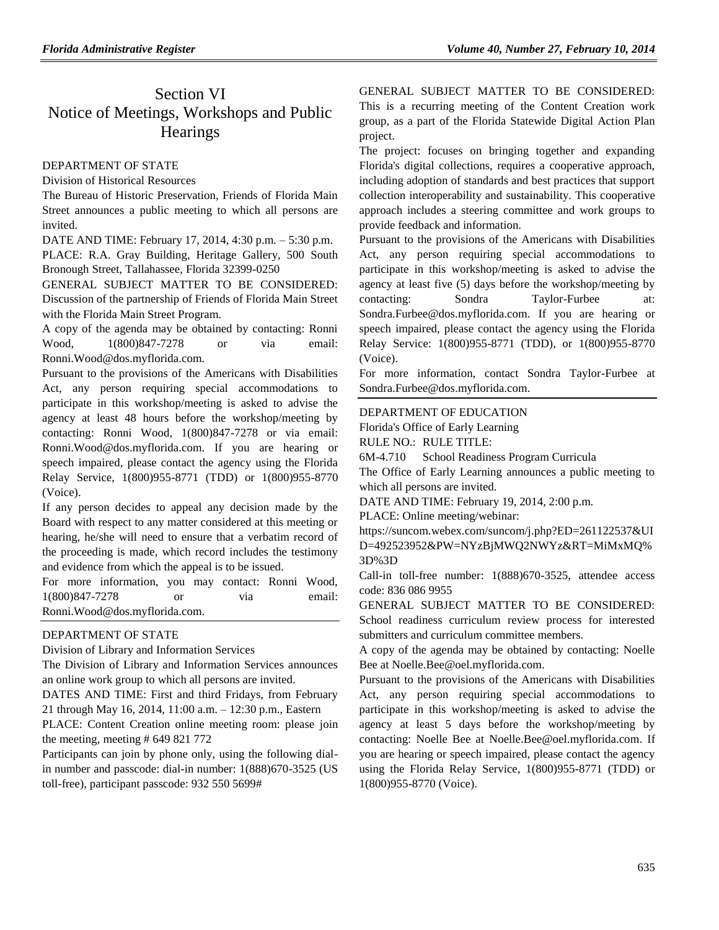# Section VI Notice of Meetings, Workshops and Public **Hearings**

#### [DEPARTMENT OF STATE](https://www.flrules.org/gateway/department.asp?id=1)

Division of [Historical Resources](https://www.flrules.org/gateway/organization.asp?id=1)

The Bureau of Historic Preservation, Friends of Florida Main Street announces a public meeting to which all persons are invited.

DATE AND TIME: February 17, 2014, 4:30 p.m. – 5:30 p.m.

PLACE: R.A. Gray Building, Heritage Gallery, 500 South Bronough Street, Tallahassee, Florida 32399-0250

GENERAL SUBJECT MATTER TO BE CONSIDERED: Discussion of the partnership of Friends of Florida Main Street with the Florida Main Street Program.

A copy of the agenda may be obtained by contacting: Ronni Wood, 1(800)847-7278 or via email: [Ronni.Wood@dos.myflorida.com.](mailto:Ronni.Wood@dos.myflorida.com)

Pursuant to the provisions of the Americans with Disabilities Act, any person requiring special accommodations to participate in this workshop/meeting is asked to advise the agency at least 48 hours before the workshop/meeting by contacting: Ronni Wood, 1(800)847-7278 or via email: [Ronni.Wood@dos.myflorida.com.](mailto:Ronni.Wood@dos.myflorida.com) If you are hearing or speech impaired, please contact the agency using the Florida Relay Service, 1(800)955-8771 (TDD) or 1(800)955-8770 (Voice).

If any person decides to appeal any decision made by the Board with respect to any matter considered at this meeting or hearing, he/she will need to ensure that a verbatim record of the proceeding is made, which record includes the testimony and evidence from which the appeal is to be issued.

For more information, you may contact: Ronni Wood, 1(800)847-7278 or via email: [Ronni.Wood@dos.myflorida.com.](mailto:Ronni.Wood@dos.myflorida.com)

## [DEPARTMENT OF STATE](https://www.flrules.org/gateway/department.asp?id=1)

[Division of Library and Information Services](https://www.flrules.org/gateway/organization.asp?id=2)

The Division of Library and Information Services announces an online work group to which all persons are invited.

DATES AND TIME: First and third Fridays, from February 21 through May 16, 2014, 11:00 a.m. – 12:30 p.m., Eastern PLACE: Content Creation online meeting room: please [join](https://suncom.webex.com/suncom/j.php?ED=261960497&UID=0&RT=MiMxMQ%3D%3D) 

[the meeting,](https://suncom.webex.com/suncom/j.php?ED=261960497&UID=0&RT=MiMxMQ%3D%3D) meeting # 649 821 772

Participants can join by phone only, using the following dialin number and passcode: dial-in number: 1(888)670-3525 (US toll-free), participant passcode: 932 550 5699#

GENERAL SUBJECT MATTER TO BE CONSIDERED: This is a recurring meeting of the Content Creation work group, as a part of the Florida Statewide Digital Action Plan project.

The project: focuses on bringing together and expanding Florida's digital collections, requires a cooperative approach, including adoption of standards and best practices that support collection interoperability and sustainability. This cooperative approach includes a steering committee and work groups to provide feedback and information.

Pursuant to the provisions of the Americans with Disabilities Act, any person requiring special accommodations to participate in this workshop/meeting is asked to advise the agency at least five (5) days before the workshop/meeting by contacting: Sondra Taylor-Furbee at: [Sondra.Furbee@dos.myflorida.com.](mailto:Sondra.Furbee@dos.myflorida.com) If you are hearing or speech impaired, please contact the agency using the Florida Relay Service: 1(800)955-8771 (TDD), or 1(800)955-8770 (Voice).

For more information, contact Sondra Taylor-Furbee at [Sondra.Furbee@dos.myflorida.com.](mailto:Sondra.Furbee@dos.myflorida.com)

### [DEPARTMENT OF EDUCATION](https://www.flrules.org/gateway/department.asp?id=6)

[Florida's Office of Early Learning](https://www.flrules.org/gateway/organization.asp?id=1044)

RULE NO.: RULE TITLE:

[6M-4.710](https://www.flrules.org/gateway/ruleNo.asp?id=6M-4.710) School Readiness Program Curricula

The Office of Early Learning announces a public meeting to which all persons are invited.

DATE AND TIME: February 19, 2014, 2:00 p.m.

PLACE: Online meeting/webinar:

[https://suncom.webex.com/suncom/j.php?ED=261122537&UI](https://suncom.webex.com/suncom/j.php?ED=261122537&UID=492523952&PW=NYzBjMWQ2NWYz&RT=MiMxMQ%3D%3D) [D=492523952&PW=NYzBjMWQ2NWYz&RT=MiMxMQ%](https://suncom.webex.com/suncom/j.php?ED=261122537&UID=492523952&PW=NYzBjMWQ2NWYz&RT=MiMxMQ%3D%3D) [3D%3D](https://suncom.webex.com/suncom/j.php?ED=261122537&UID=492523952&PW=NYzBjMWQ2NWYz&RT=MiMxMQ%3D%3D)

Call-in toll-free number: 1(888)670-3525, attendee access code: 836 086 9955

GENERAL SUBJECT MATTER TO BE CONSIDERED: School readiness curriculum review process for interested submitters and curriculum committee members.

A copy of the agenda may be obtained by contacting: Noelle Bee at [Noelle.Bee@oel.myflorida.com.](mailto:Noelle.Bee@oel.myflorida.com)

Pursuant to the provisions of the Americans with Disabilities Act, any person requiring special accommodations to participate in this workshop/meeting is asked to advise the agency at least 5 days before the workshop/meeting by contacting: Noelle Bee at [Noelle.Bee@oel.myflorida.com.](mailto:Noelle.Bee@oel.myflorida.com) If you are hearing or speech impaired, please contact the agency using the Florida Relay Service, 1(800)955-8771 (TDD) or 1(800)955-8770 (Voice).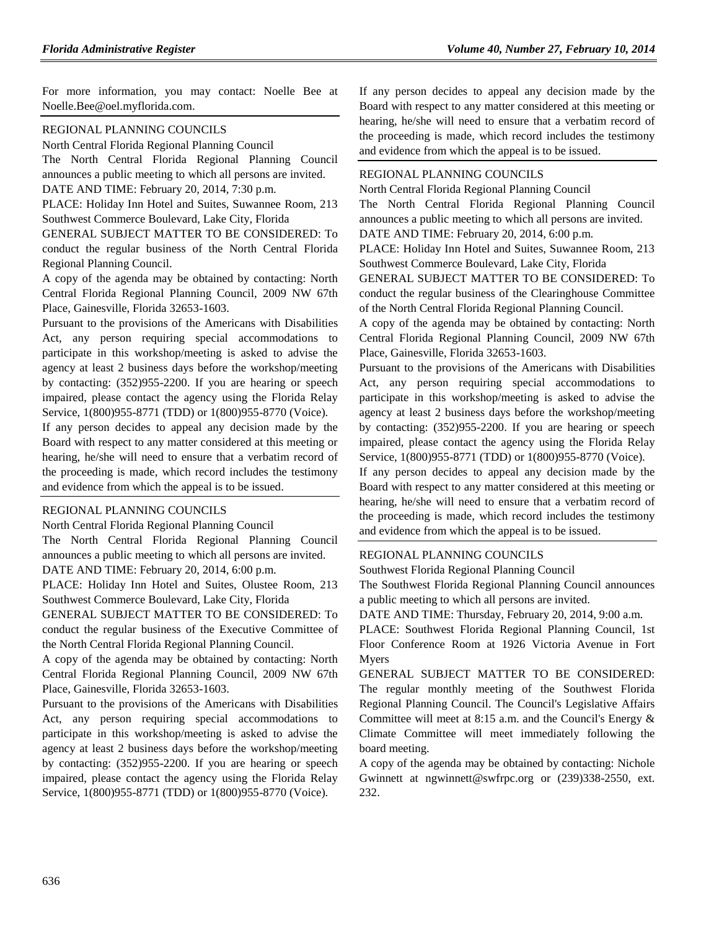For more information, you may contact: Noelle Bee at [Noelle.Bee@oel.myflorida.com.](mailto:Noelle.Bee@oel.myflorida.com)

#### [REGIONAL PLANNING COUNCILS](https://www.flrules.org/gateway/department.asp?id=29)

[North Central Florida Regional Planning Council](https://www.flrules.org/gateway/organization.asp?id=59) The North Central Florida Regional Planning Council announces a public meeting to which all persons are invited. DATE AND TIME: February 20, 2014, 7:30 p.m.

PLACE: Holiday Inn Hotel and Suites, Suwannee Room, 213 Southwest Commerce Boulevard, Lake City, Florida

GENERAL SUBJECT MATTER TO BE CONSIDERED: To conduct the regular business of the North Central Florida Regional Planning Council.

A copy of the agenda may be obtained by contacting: North Central Florida Regional Planning Council, 2009 NW 67th Place, Gainesville, Florida 32653-1603.

Pursuant to the provisions of the Americans with Disabilities Act, any person requiring special accommodations to participate in this workshop/meeting is asked to advise the agency at least 2 business days before the workshop/meeting by contacting: (352)955-2200. If you are hearing or speech impaired, please contact the agency using the Florida Relay Service, 1(800)955-8771 (TDD) or 1(800)955-8770 (Voice).

If any person decides to appeal any decision made by the Board with respect to any matter considered at this meeting or hearing, he/she will need to ensure that a verbatim record of the proceeding is made, which record includes the testimony and evidence from which the appeal is to be issued.

#### [REGIONAL PLANNING COUNCILS](https://www.flrules.org/gateway/department.asp?id=29)

[North Central Florida Regional Planning Council](https://www.flrules.org/gateway/organization.asp?id=59) The North Central Florida Regional Planning Council announces a public meeting to which all persons are invited. DATE AND TIME: February 20, 2014, 6:00 p.m.

PLACE: Holiday Inn Hotel and Suites, Olustee Room, 213 Southwest Commerce Boulevard, Lake City, Florida

GENERAL SUBJECT MATTER TO BE CONSIDERED: To conduct the regular business of the Executive Committee of the North Central Florida Regional Planning Council.

A copy of the agenda may be obtained by contacting: North Central Florida Regional Planning Council, 2009 NW 67th Place, Gainesville, Florida 32653-1603.

Pursuant to the provisions of the Americans with Disabilities Act, any person requiring special accommodations to participate in this workshop/meeting is asked to advise the agency at least 2 business days before the workshop/meeting by contacting: (352)955-2200. If you are hearing or speech impaired, please contact the agency using the Florida Relay Service, 1(800)955-8771 (TDD) or 1(800)955-8770 (Voice).

If any person decides to appeal any decision made by the Board with respect to any matter considered at this meeting or hearing, he/she will need to ensure that a verbatim record of the proceeding is made, which record includes the testimony and evidence from which the appeal is to be issued.

### [REGIONAL PLANNING](https://www.flrules.org/gateway/department.asp?id=29) COUNCILS

[North Central Florida Regional Planning Council](https://www.flrules.org/gateway/organization.asp?id=59)

The North Central Florida Regional Planning Council announces a public meeting to which all persons are invited.

DATE AND TIME: February 20, 2014, 6:00 p.m.

PLACE: Holiday Inn Hotel and Suites, Suwannee Room, 213 Southwest Commerce Boulevard, Lake City, Florida

GENERAL SUBJECT MATTER TO BE CONSIDERED: To conduct the regular business of the Clearinghouse Committee of the North Central Florida Regional Planning Council.

A copy of the agenda may be obtained by contacting: North Central Florida Regional Planning Council, 2009 NW 67th Place, Gainesville, Florida 32653-1603.

Pursuant to the provisions of the Americans with Disabilities Act, any person requiring special accommodations to participate in this workshop/meeting is asked to advise the agency at least 2 business days before the workshop/meeting by contacting: (352)955-2200. If you are hearing or speech impaired, please contact the agency using the Florida Relay Service, 1(800)955-8771 (TDD) or 1(800)955-8770 (Voice).

If any person decides to appeal any decision made by the Board with respect to any matter considered at this meeting or hearing, he/she will need to ensure that a verbatim record of the proceeding is made, which record includes the testimony and evidence from which the appeal is to be issued.

#### [REGIONAL PLANNING COUNCILS](https://www.flrules.org/gateway/department.asp?id=29)

[Southwest Florida Regional Planning Council](https://www.flrules.org/gateway/organization.asp?id=65)

The Southwest Florida Regional Planning Council announces a public meeting to which all persons are invited.

DATE AND TIME: Thursday, February 20, 2014, 9:00 a.m.

PLACE: Southwest Florida Regional Planning Council, 1st Floor Conference Room at 1926 Victoria Avenue in Fort Myers

GENERAL SUBJECT MATTER TO BE CONSIDERED: The regular monthly meeting of the Southwest Florida Regional Planning Council. The Council's Legislative Affairs Committee will meet at 8:15 a.m. and the Council's Energy & Climate Committee will meet immediately following the board meeting.

A copy of the agenda may be obtained by contacting: Nichole Gwinnett at [ngwinnett@swfrpc.org](mailto:ngwinnett@swfrpc.org) or (239)338-2550, ext. 232.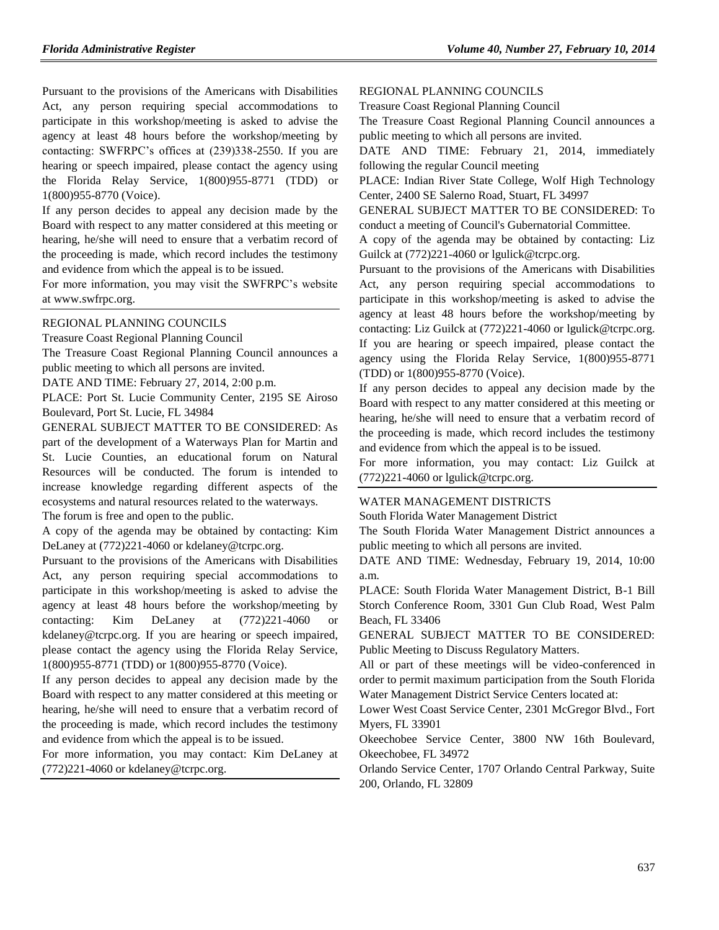Pursuant to the provisions of the Americans with Disabilities Act, any person requiring special accommodations to participate in this workshop/meeting is asked to advise the agency at least 48 hours before the workshop/meeting by contacting: SWFRPC's offices at (239)338-2550. If you are hearing or speech impaired, please contact the agency using the Florida Relay Service, 1(800)955-8771 (TDD) or 1(800)955-8770 (Voice).

If any person decides to appeal any decision made by the Board with respect to any matter considered at this meeting or hearing, he/she will need to ensure that a verbatim record of the proceeding is made, which record includes the testimony and evidence from which the appeal is to be issued.

For more information, you may visit the SWFRPC's website a[t www.swfrpc.org.](http://www.swfrpc.org/)

#### [REGIONAL PLANNING COUNCILS](https://www.flrules.org/gateway/department.asp?id=29)

[Treasure Coast Regional Planning Council](https://www.flrules.org/gateway/organization.asp?id=67)

The Treasure Coast Regional Planning Council announces a public meeting to which all persons are invited.

DATE AND TIME: February 27, 2014, 2:00 p.m.

PLACE: Port St. Lucie Community Center, 2195 SE Airoso Boulevard, Port St. Lucie, FL 34984

GENERAL SUBJECT MATTER TO BE CONSIDERED: As part of the development of a Waterways Plan for Martin and St. Lucie Counties, an educational forum on Natural Resources will be conducted. The forum is intended to increase knowledge regarding different aspects of the ecosystems and natural resources related to the waterways.

The forum is free and open to the public.

A copy of the agenda may be obtained by contacting: Kim DeLaney at  $(772)221-4060$  or [kdelaney@tcrpc.org.](mailto:kdelaney@tcrpc.org)

Pursuant to the provisions of the Americans with Disabilities Act, any person requiring special accommodations to participate in this workshop/meeting is asked to advise the agency at least 48 hours before the workshop/meeting by contacting: Kim DeLaney at (772)221-4060 or [kdelaney@tcrpc.org.](mailto:kdelaney@tcrpc.org) If you are hearing or speech impaired, please contact the agency using the Florida Relay Service, 1(800)955-8771 (TDD) or 1(800)955-8770 (Voice).

If any person decides to appeal any decision made by the Board with respect to any matter considered at this meeting or hearing, he/she will need to ensure that a verbatim record of the proceeding is made, which record includes the testimony and evidence from which the appeal is to be issued.

For more information, you may contact: Kim DeLaney at (772)221-4060 or [kdelaney@tcrpc.org.](mailto:kdelaney@tcrpc.org)

#### [REGIONAL PLANNING COUNCILS](https://www.flrules.org/gateway/department.asp?id=29)

[Treasure Coast Regional Planning Council](https://www.flrules.org/gateway/organization.asp?id=67)

The Treasure Coast Regional Planning Council announces a public meeting to which all persons are invited.

DATE AND TIME: February 21, 2014, immediately following the regular Council meeting

PLACE: Indian River State College, Wolf High Technology Center, 2400 SE Salerno Road, Stuart, FL 34997

GENERAL SUBJECT MATTER TO BE CONSIDERED: To conduct a meeting of Council's Gubernatorial Committee.

A copy of the agenda may be obtained by contacting: Liz Guilck at (772)221-4060 o[r lgulick@tcrpc.org.](mailto:lgulick@tcrpc.org)

Pursuant to the provisions of the Americans with Disabilities Act, any person requiring special accommodations to participate in this workshop/meeting is asked to advise the agency at least 48 hours before the workshop/meeting by contacting: Liz Guilck at (772)221-4060 o[r lgulick@tcrpc.org.](mailto:lgulick@tcrpc.org) If you are hearing or speech impaired, please contact the agency using the Florida Relay Service, 1(800)955-8771 (TDD) or 1(800)955-8770 (Voice).

If any person decides to appeal any decision made by the Board with respect to any matter considered at this meeting or hearing, he/she will need to ensure that a verbatim record of the proceeding is made, which record includes the testimony and evidence from which the appeal is to be issued.

For more information, you may contact: Liz Guilck at (772)221-4060 or [lgulick@tcrpc.org.](mailto:lgulick@tcrpc.org)

#### [WATER MANAGEMENT DISTRICTS](https://www.flrules.org/gateway/department.asp?id=40)

[South Florida Water Management District](https://www.flrules.org/gateway/organization.asp?id=124)

The South Florida Water Management District announces a public meeting to which all persons are invited.

DATE AND TIME: Wednesday, February 19, 2014, 10:00 a.m.

PLACE: South Florida Water Management District, B-1 Bill Storch Conference Room, 3301 Gun Club Road, West Palm Beach, FL 33406

GENERAL SUBJECT MATTER TO BE CONSIDERED: Public Meeting to Discuss Regulatory Matters.

All or part of these meetings will be video-conferenced in order to permit maximum participation from the South Florida Water Management District Service Centers located at:

Lower West Coast Service Center, 2301 McGregor Blvd., Fort Myers, FL 33901

Okeechobee Service Center, 3800 NW 16th Boulevard, Okeechobee, FL 34972

Orlando Service Center, 1707 Orlando Central Parkway, Suite 200, Orlando, FL 32809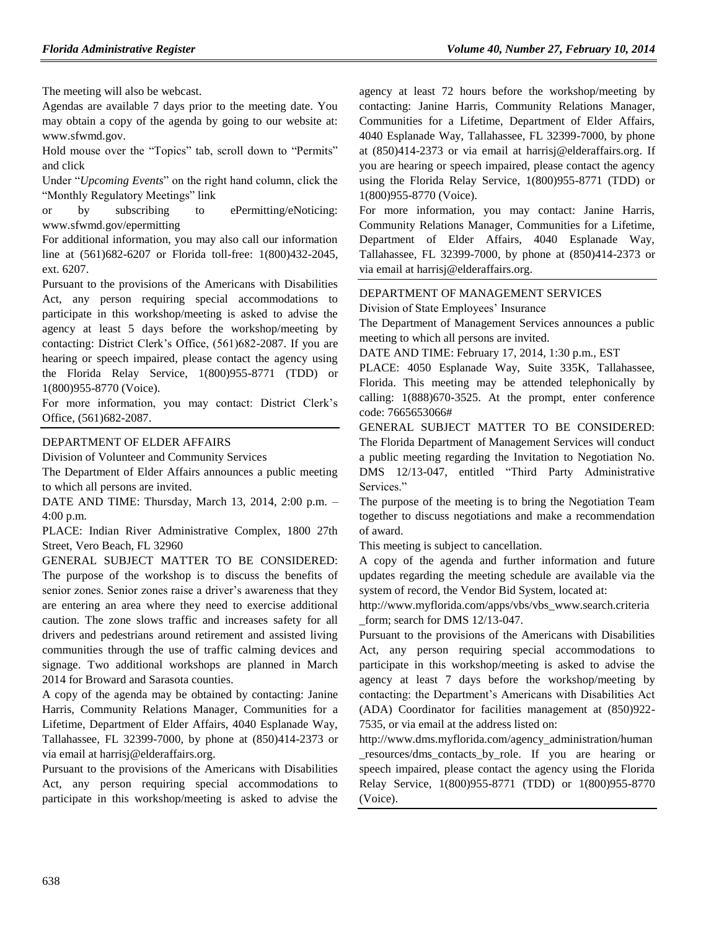The meeting will also be webcast.

Agendas are available 7 days prior to the meeting date. You may obtain a copy of the agenda by going to our website at: [www.sfwmd.gov.](http://www.sfwmd.gov/)

Hold mouse over the "Topics" tab, scroll down to "Permits" and click

Under "*Upcoming Events*" on the right hand column, click the "Monthly Regulatory Meetings" link

or by subscribing to ePermitting/eNoticing: [www.sfwmd.gov/epermitting](http://www.sfwmd.gov/epermitting)

For additional information, you may also call our information line at (561)682-6207 or Florida toll-free: 1(800)432-2045, ext. 6207.

Pursuant to the provisions of the Americans with Disabilities Act, any person requiring special accommodations to participate in this workshop/meeting is asked to advise the agency at least 5 days before the workshop/meeting by contacting: District Clerk's Office, (561)682-2087. If you are hearing or speech impaired, please contact the agency using the Florida Relay Service, 1(800)955-8771 (TDD) or 1(800)955-8770 (Voice).

For more information, you may contact: District Clerk's Office, (561)682-2087.

### [DEPARTMENT OF ELDER AFFAIRS](https://www.flrules.org/gateway/department.asp?id=58)

[Division of Volunteer and Community Services](https://www.flrules.org/gateway/organization.asp?id=530)

The Department of Elder Affairs announces a public meeting to which all persons are invited.

DATE AND TIME: Thursday, March 13, 2014, 2:00 p.m. – 4:00 p.m.

PLACE: Indian River Administrative Complex, 1800 27th Street, Vero Beach, FL 32960

GENERAL SUBJECT MATTER TO BE CONSIDERED: The purpose of the workshop is to discuss the benefits of senior zones. Senior zones raise a driver's awareness that they are entering an area where they need to exercise additional caution. The zone slows traffic and increases safety for all drivers and pedestrians around retirement and assisted living communities through the use of traffic calming devices and signage. Two additional workshops are planned in March 2014 for Broward and Sarasota counties.

A copy of the agenda may be obtained by contacting: Janine Harris, Community Relations Manager, Communities for a Lifetime, Department of Elder Affairs, 4040 Esplanade Way, Tallahassee, FL 32399-7000, by phone at (850)414-2373 or via email at [harrisj@elderaffairs.org.](mailto:harrisj@elderaffairs.org)

Pursuant to the provisions of the Americans with Disabilities Act, any person requiring special accommodations to participate in this workshop/meeting is asked to advise the

agency at least 72 hours before the workshop/meeting by contacting: Janine Harris, Community Relations Manager, Communities for a Lifetime, Department of Elder Affairs, 4040 Esplanade Way, Tallahassee, FL 32399-7000, by phone at (850)414-2373 or via email at [harrisj@elderaffairs.org.](mailto:harrisj@elderaffairs.org) If you are hearing or speech impaired, please contact the agency using the Florida Relay Service, 1(800)955-8771 (TDD) or 1(800)955-8770 (Voice).

For more information, you may contact: Janine Harris, Community Relations Manager, Communities for a Lifetime, Department of Elder Affairs, 4040 Esplanade Way, Tallahassee, FL 32399-7000, by phone at (850)414-2373 or via email at [harrisj@elderaffairs.org.](mailto:harrisj@elderaffairs.org)

## [DEPARTMENT OF MANAGEMENT SERVICES](https://www.flrules.org/gateway/department.asp?id=60)

[Division of State Employees' Insurance](https://www.flrules.org/gateway/organization.asp?id=236)

The Department of Management Services announces a public meeting to which all persons are invited.

DATE AND TIME: February 17, 2014, 1:30 p.m., EST

PLACE: 4050 Esplanade Way, Suite 335K, Tallahassee, Florida. This meeting may be attended telephonically by calling: 1(888)670-3525. At the prompt, enter conference code: 7665653066#

GENERAL SUBJECT MATTER TO BE CONSIDERED: The Florida Department of Management Services will conduct a public meeting regarding the Invitation to Negotiation No. DMS 12/13-047, entitled "Third Party Administrative Services."

The purpose of the meeting is to bring the Negotiation Team together to discuss negotiations and make a recommendation of award.

This meeting is subject to cancellation.

A copy of the agenda and further information and future updates regarding the meeting schedule are available via the system of record, the Vendor Bid System, located at:

[http://www.myflorida.com/apps/vbs/vbs\\_www.search.criteria](http://www.myflorida.com/apps/vbs/vbs_www.search.criteria_form) [\\_form;](http://www.myflorida.com/apps/vbs/vbs_www.search.criteria_form) search for DMS 12/13-047.

Pursuant to the provisions of the Americans with Disabilities Act, any person requiring special accommodations to participate in this workshop/meeting is asked to advise the agency at least 7 days before the workshop/meeting by contacting: the Department's Americans with Disabilities Act (ADA) Coordinator for facilities management at (850)922- 7535, or via email at the address listed on:

[http://www.dms.myflorida.com/agency\\_administration/human](http://www.dms.myflorida.com/agency_administration/human_resources/dms_contacts_by_role) [\\_resources/dms\\_contacts\\_by\\_role.](http://www.dms.myflorida.com/agency_administration/human_resources/dms_contacts_by_role) If you are hearing or speech impaired, please contact the agency using the Florida Relay Service, 1(800)955-8771 (TDD) or 1(800)955-8770 (Voice).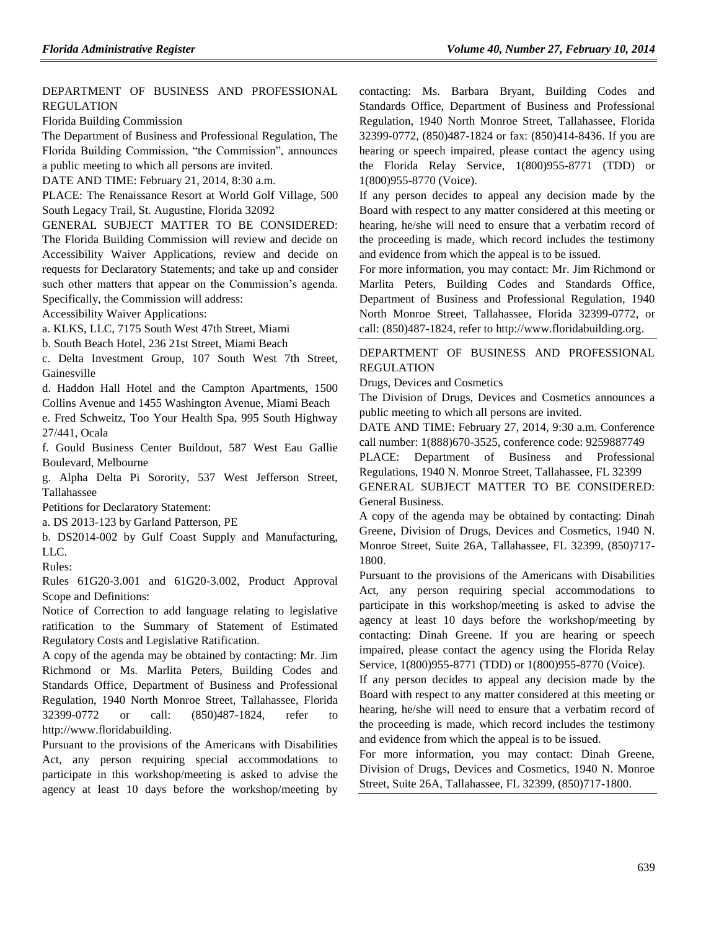### [DEPARTMENT OF BUSINESS AND PROFESSIONAL](https://www.flrules.org/gateway/department.asp?id=61)  [REGULATION](https://www.flrules.org/gateway/department.asp?id=61)

[Florida Building Commission](https://www.flrules.org/gateway/organization.asp?id=1071)

The Department of Business and Professional Regulation, The Florida Building Commission, "the Commission", announces a public meeting to which all persons are invited.

DATE AND TIME: February 21, 2014, 8:30 a.m.

PLACE: The Renaissance Resort at World Golf Village, 500 South Legacy Trail, St. Augustine, Florida 32092

GENERAL SUBJECT MATTER TO BE CONSIDERED:

The Florida Building Commission will review and decide on Accessibility Waiver Applications, review and decide on requests for Declaratory Statements; and take up and consider such other matters that appear on the Commission's agenda. Specifically, the Commission will address:

Accessibility Waiver Applications:

a. KLKS, LLC, 7175 South West 47th Street, Miami

b. South Beach Hotel, 236 21st Street, Miami Beach

c. Delta Investment Group, 107 South West 7th Street, Gainesville

d. Haddon Hall Hotel and the Campton Apartments, 1500 Collins Avenue and 1455 Washington Avenue, Miami Beach

e. Fred Schweitz, Too Your Health Spa, 995 South Highway 27/441, Ocala

f. Gould Business Center Buildout, 587 West Eau Gallie Boulevard, Melbourne

g. Alpha Delta Pi Sorority, 537 West Jefferson Street, Tallahassee

Petitions for Declaratory Statement:

a. DS 2013-123 by Garland Patterson, PE

b. DS2014-002 by Gulf Coast Supply and Manufacturing, LLC.

Rules:

Rules 61G20-3.001 and 61G20-3.002, Product Approval Scope and Definitions:

Notice of Correction to add language relating to legislative ratification to the Summary of Statement of Estimated Regulatory Costs and Legislative Ratification.

A copy of the agenda may be obtained by contacting: Mr. Jim Richmond or Ms. Marlita Peters, Building Codes and Standards Office, Department of Business and Professional Regulation, 1940 North Monroe Street, Tallahassee, Florida 32399-0772 or call: (850)487-1824, refer to [http://www.floridabuilding.](http://www.floridabuilding/)

Pursuant to the provisions of the Americans with Disabilities Act, any person requiring special accommodations to participate in this workshop/meeting is asked to advise the agency at least 10 days before the workshop/meeting by contacting: Ms. Barbara Bryant, Building Codes and Standards Office, Department of Business and Professional Regulation, 1940 North Monroe Street, Tallahassee, Florida 32399-0772, (850)487-1824 or fax: (850)414-8436. If you are hearing or speech impaired, please contact the agency using the Florida Relay Service, 1(800)955-8771 (TDD) or 1(800)955-8770 (Voice).

If any person decides to appeal any decision made by the Board with respect to any matter considered at this meeting or hearing, he/she will need to ensure that a verbatim record of the proceeding is made, which record includes the testimony and evidence from which the appeal is to be issued.

For more information, you may contact: Mr. Jim Richmond or Marlita Peters, Building Codes and Standards Office, Department of Business and Professional Regulation, 1940 North Monroe Street, Tallahassee, Florida 32399-0772, or call: (850)487-1824, refer to [http://www.floridabuilding.org.](http://www.floridabuilding.org/)

[DEPARTMENT OF BUSINESS AND PROFESSIONAL](https://www.flrules.org/gateway/department.asp?id=61)  [REGULATION](https://www.flrules.org/gateway/department.asp?id=61)

[Drugs, Devices and Cosmetics](https://www.flrules.org/gateway/organization.asp?id=1057)

The Division of Drugs, Devices and Cosmetics announces a public meeting to which all persons are invited.

DATE AND TIME: February 27, 2014, 9:30 a.m. Conference call number: 1(888)670-3525, conference code: 9259887749

PLACE: Department of Business and Professional Regulations, 1940 N. Monroe Street, Tallahassee, FL 32399

GENERAL SUBJECT MATTER TO BE CONSIDERED: General Business.

A copy of the agenda may be obtained by contacting: Dinah Greene, Division of Drugs, Devices and Cosmetics, 1940 N. Monroe Street, Suite 26A, Tallahassee, FL 32399, (850)717- 1800.

Pursuant to the provisions of the Americans with Disabilities Act, any person requiring special accommodations to participate in this workshop/meeting is asked to advise the agency at least 10 days before the workshop/meeting by contacting: Dinah Greene. If you are hearing or speech impaired, please contact the agency using the Florida Relay Service, 1(800)955-8771 (TDD) or 1(800)955-8770 (Voice).

If any person decides to appeal any decision made by the Board with respect to any matter considered at this meeting or hearing, he/she will need to ensure that a verbatim record of the proceeding is made, which record includes the testimony and evidence from which the appeal is to be issued.

For more information, you may contact: Dinah Greene, Division of Drugs, Devices and Cosmetics, 1940 N. Monroe Street, Suite 26A, Tallahassee, FL 32399, (850)717-1800.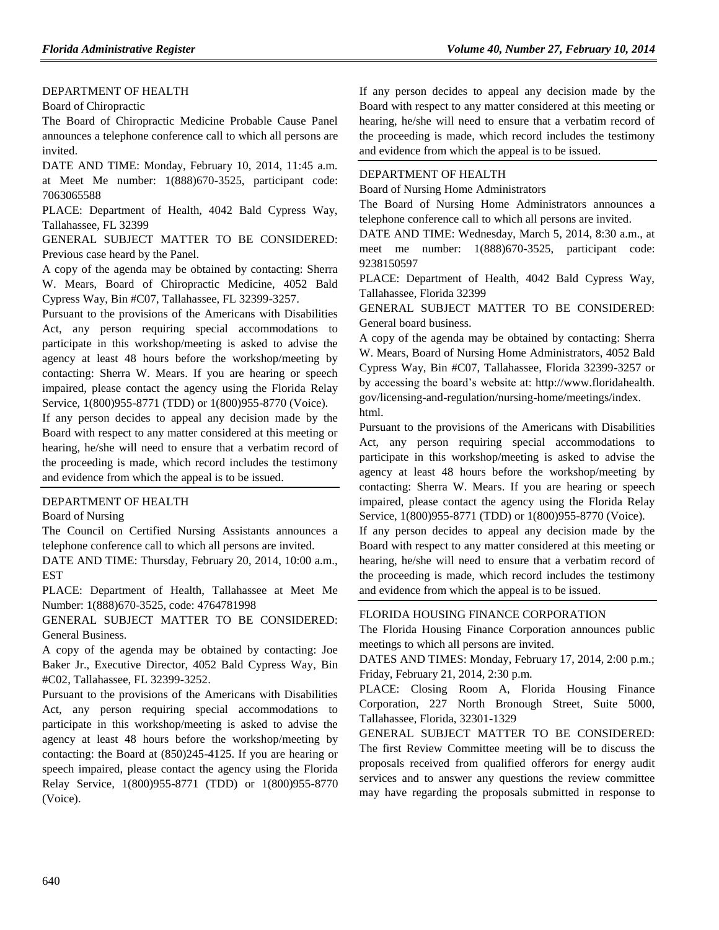### [DEPARTMENT OF HEALTH](https://www.flrules.org/gateway/department.asp?id=64)

#### [Board of Chiropractic](https://www.flrules.org/gateway/organization.asp?id=311)

The Board of Chiropractic Medicine Probable Cause Panel announces a telephone conference call to which all persons are invited.

DATE AND TIME: Monday, February 10, 2014, 11:45 a.m. at Meet Me number: 1(888)670-3525, participant code: 7063065588

PLACE: Department of Health, 4042 Bald Cypress Way, Tallahassee, FL 32399

GENERAL SUBJECT MATTER TO BE CONSIDERED: Previous case heard by the Panel.

A copy of the agenda may be obtained by contacting: Sherra W. Mears, Board of Chiropractic Medicine, 4052 Bald Cypress Way, Bin #C07, Tallahassee, FL 32399-3257.

Pursuant to the provisions of the Americans with Disabilities Act, any person requiring special accommodations to participate in this workshop/meeting is asked to advise the agency at least 48 hours before the workshop/meeting by contacting: Sherra W. Mears. If you are hearing or speech impaired, please contact the agency using the Florida Relay Service, 1(800)955-8771 (TDD) or 1(800)955-8770 (Voice).

If any person decides to appeal any decision made by the Board with respect to any matter considered at this meeting or hearing, he/she will need to ensure that a verbatim record of the proceeding is made, which record includes the testimony and evidence from which the appeal is to be issued.

#### [DEPARTMENT OF HEALTH](https://www.flrules.org/gateway/department.asp?id=64)

#### [Board of Nursing](https://www.flrules.org/gateway/organization.asp?id=332)

The Council on Certified Nursing Assistants announces a telephone conference call to which all persons are invited.

DATE AND TIME: Thursday, February 20, 2014, 10:00 a.m., **EST** 

PLACE: Department of Health, Tallahassee at Meet Me Number: 1(888)670-3525, code: 4764781998

GENERAL SUBJECT MATTER TO BE CONSIDERED: General Business.

A copy of the agenda may be obtained by contacting: Joe Baker Jr., Executive Director, 4052 Bald Cypress Way, Bin #C02, Tallahassee, FL 32399-3252.

Pursuant to the provisions of the Americans with Disabilities Act, any person requiring special accommodations to participate in this workshop/meeting is asked to advise the agency at least 48 hours before the workshop/meeting by contacting: the Board at (850)245-4125. If you are hearing or speech impaired, please contact the agency using the Florida Relay Service, 1(800)955-8771 (TDD) or 1(800)955-8770 (Voice).

If any person decides to appeal any decision made by the Board with respect to any matter considered at this meeting or hearing, he/she will need to ensure that a verbatim record of the proceeding is made, which record includes the testimony and evidence from which the appeal is to be issued.

## [DEPARTMENT OF HEALTH](https://www.flrules.org/gateway/department.asp?id=64)

[Board of Nursing Home Administrators](https://www.flrules.org/gateway/organization.asp?id=301)

The Board of Nursing Home Administrators announces a telephone conference call to which all persons are invited.

DATE AND TIME: Wednesday, March 5, 2014, 8:30 a.m., at meet me number: 1(888)670-3525, participant code: 9238150597

PLACE: Department of Health, 4042 Bald Cypress Way, Tallahassee, Florida 32399

GENERAL SUBJECT MATTER TO BE CONSIDERED: General board business.

A copy of the agenda may be obtained by contacting: Sherra W. Mears, Board of Nursing Home Administrators, 4052 Bald Cypress Way, Bin #C07, Tallahassee, Florida 32399-3257 or by accessing the board's website at: [http://www.floridahealth.](http://www.floridahealth.gov/licensing-and-regulation/nursing-home/meetings/index.html) [gov/licensing-and-regulation/nursing-home/meetings/index.](http://www.floridahealth.gov/licensing-and-regulation/nursing-home/meetings/index.html) [html.](http://www.floridahealth.gov/licensing-and-regulation/nursing-home/meetings/index.html)

Pursuant to the provisions of the Americans with Disabilities Act, any person requiring special accommodations to participate in this workshop/meeting is asked to advise the agency at least 48 hours before the workshop/meeting by contacting: Sherra W. Mears. If you are hearing or speech impaired, please contact the agency using the Florida Relay Service, 1(800)955-8771 (TDD) or 1(800)955-8770 (Voice).

If any person decides to appeal any decision made by the Board with respect to any matter considered at this meeting or hearing, he/she will need to ensure that a verbatim record of the proceeding is made, which record includes the testimony and evidence from which the appeal is to be issued.

## [FLORIDA HOUSING FINANCE CORPORATION](https://www.flrules.org/gateway/department.asp?id=67)

The Florida Housing Finance Corporation announces public meetings to which all persons are invited.

DATES AND TIMES: Monday, February 17, 2014, 2:00 p.m.; Friday, February 21, 2014, 2:30 p.m.

PLACE: Closing Room A, Florida Housing Finance Corporation, 227 North Bronough Street, Suite 5000, Tallahassee, Florida, 32301-1329

GENERAL SUBJECT MATTER TO BE CONSIDERED: The first Review Committee meeting will be to discuss the proposals received from qualified offerors for energy audit services and to answer any questions the review committee may have regarding the proposals submitted in response to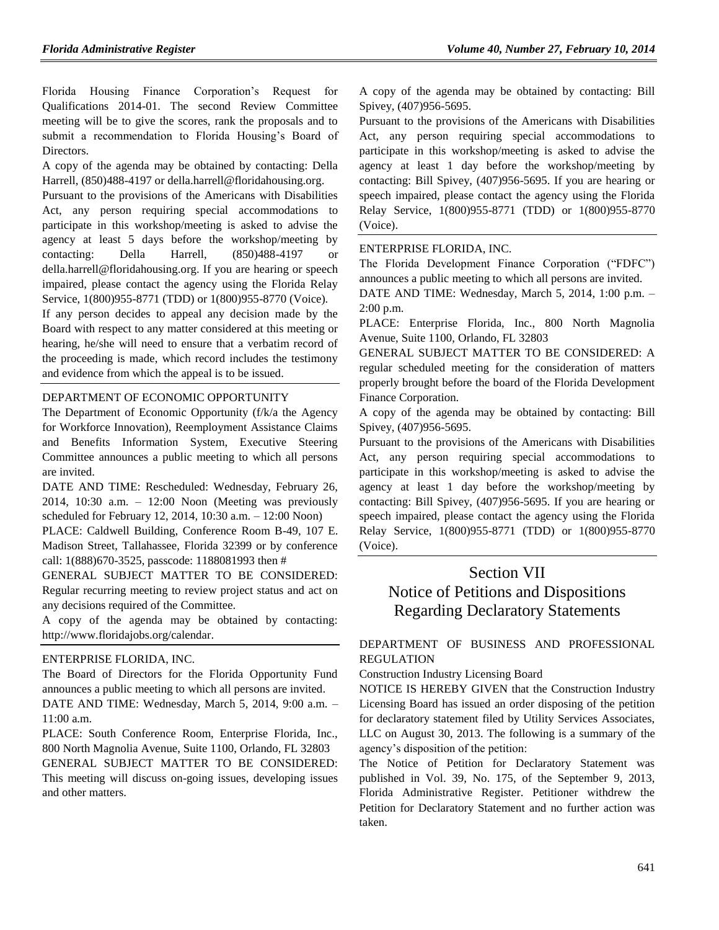Florida Housing Finance Corporation's Request for Qualifications 2014-01. The second Review Committee meeting will be to give the scores, rank the proposals and to submit a recommendation to Florida Housing's Board of Directors.

A copy of the agenda may be obtained by contacting: Della Harrell, (850)488-4197 o[r della.harrell@floridahousing.org.](mailto:della.harrell@floridahousing.org)

Pursuant to the provisions of the Americans with Disabilities Act, any person requiring special accommodations to participate in this workshop/meeting is asked to advise the agency at least 5 days before the workshop/meeting by contacting: Della Harrell, (850)488-4197 or [della.harrell@floridahousing.org.](mailto:della.harrell@floridahousing.org) If you are hearing or speech impaired, please contact the agency using the Florida Relay Service, 1(800)955-8771 (TDD) or 1(800)955-8770 (Voice).

If any person decides to appeal any decision made by the Board with respect to any matter considered at this meeting or hearing, he/she will need to ensure that a verbatim record of the proceeding is made, which record includes the testimony and evidence from which the appeal is to be issued.

### [DEPARTMENT OF ECONOMIC OPPORTUNITY](https://www.flrules.org/gateway/department.asp?id=73)

The Department of Economic Opportunity (f/k/a the Agency for Workforce Innovation), Reemployment Assistance Claims and Benefits Information System, Executive Steering Committee announces a public meeting to which all persons are invited.

DATE AND TIME: Rescheduled: Wednesday, February 26, 2014, 10:30 a.m. – 12:00 Noon (Meeting was previously scheduled for February 12, 2014, 10:30 a.m. – 12:00 Noon)

PLACE: Caldwell Building, Conference Room B-49, 107 E. Madison Street, Tallahassee, Florida 32399 or by conference call: 1(888)670-3525, passcode: 1188081993 then #

GENERAL SUBJECT MATTER TO BE CONSIDERED: Regular recurring meeting to review project status and act on any decisions required of the Committee.

A copy of the agenda may be obtained by contacting: [http://www.floridajobs.org/calendar.](http://www.floridajobs.org/calendar)

#### [ENTERPRISE FLORIDA, INC.](https://www.flrules.org/gateway/organization.asp?id=680)

The Board of Directors for the Florida Opportunity Fund announces a public meeting to which all persons are invited. DATE AND TIME: Wednesday, March 5, 2014, 9:00 a.m. – 11:00 a.m.

PLACE: South Conference Room, Enterprise Florida, Inc., 800 North Magnolia Avenue, Suite 1100, Orlando, FL 32803 GENERAL SUBJECT MATTER TO BE CONSIDERED: This meeting will discuss on-going issues, developing issues and other matters.

A copy of the agenda may be obtained by contacting: Bill Spivey, (407)956-5695.

Pursuant to the provisions of the Americans with Disabilities Act, any person requiring special accommodations to participate in this workshop/meeting is asked to advise the agency at least 1 day before the workshop/meeting by contacting: Bill Spivey, (407)956-5695. If you are hearing or speech impaired, please contact the agency using the Florida Relay Service, 1(800)955-8771 (TDD) or 1(800)955-8770 (Voice).

## [ENTERPRISE FLORIDA, INC.](https://www.flrules.org/gateway/organization.asp?id=680)

The Florida Development Finance Corporation ("FDFC") announces a public meeting to which all persons are invited.

DATE AND TIME: Wednesday, March 5, 2014, 1:00 p.m. – 2:00 p.m.

PLACE: Enterprise Florida, Inc., 800 North Magnolia Avenue, Suite 1100, Orlando, FL 32803

GENERAL SUBJECT MATTER TO BE CONSIDERED: A regular scheduled meeting for the consideration of matters properly brought before the board of the Florida Development Finance Corporation.

A copy of the agenda may be obtained by contacting: Bill Spivey, (407)956-5695.

Pursuant to the provisions of the Americans with Disabilities Act, any person requiring special accommodations to participate in this workshop/meeting is asked to advise the agency at least 1 day before the workshop/meeting by contacting: Bill Spivey, (407)956-5695. If you are hearing or speech impaired, please contact the agency using the Florida Relay Service, 1(800)955-8771 (TDD) or 1(800)955-8770 (Voice).

# Section VII Notice of Petitions and Dispositions Regarding Declaratory Statements

### [DEPARTMENT OF BUSINESS AND PROFESSIONAL](https://www.flrules.org/gateway/department.asp?id=61)  [REGULATION](https://www.flrules.org/gateway/department.asp?id=61)

[Construction Industry Licensing Board](https://www.flrules.org/gateway/organization.asp?id=274)

NOTICE IS HEREBY GIVEN that the Construction Industry Licensing Board has issued an order disposing of the petition for declaratory statement filed by Utility Services Associates, LLC on August 30, 2013. The following is a summary of the agency's disposition of the petition:

The Notice of Petition for Declaratory Statement was published in Vol. 39, No. 175, of the September 9, 2013, Florida Administrative Register. Petitioner withdrew the Petition for Declaratory Statement and no further action was taken.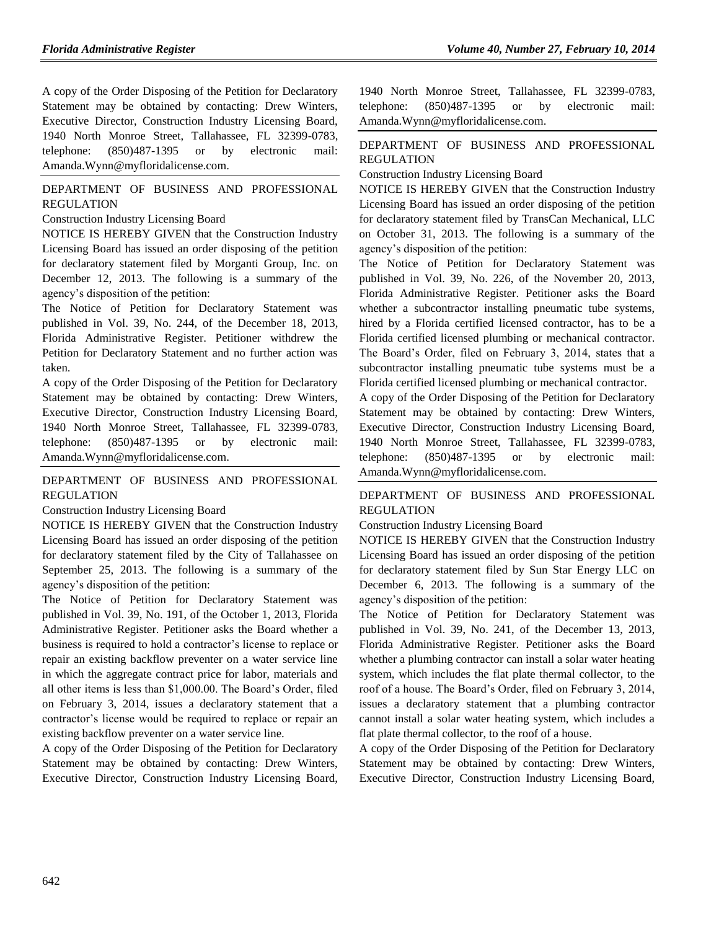A copy of the Order Disposing of the Petition for Declaratory Statement may be obtained by contacting: Drew Winters, Executive Director, Construction Industry Licensing Board, 1940 North Monroe Street, Tallahassee, FL 32399-0783, telephone: (850)487-1395 or by electronic mail: [Amanda.Wynn@myfloridalicense.com.](mailto:Amanda.Wynn@myfloridalicense.com)

### [DEPARTMENT OF BUSINESS AND PROFESSIONAL](https://www.flrules.org/gateway/department.asp?id=61)  [REGULATION](https://www.flrules.org/gateway/department.asp?id=61)

[Construction Industry Licensing Board](https://www.flrules.org/gateway/organization.asp?id=274)

NOTICE IS HEREBY GIVEN that the Construction Industry Licensing Board has issued an order disposing of the petition for declaratory statement filed by Morganti Group, Inc. on December 12, 2013. The following is a summary of the agency's disposition of the petition:

The Notice of Petition for Declaratory Statement was published in Vol. 39, No. 244, of the December 18, 2013, Florida Administrative Register. Petitioner withdrew the Petition for Declaratory Statement and no further action was taken.

A copy of the Order Disposing of the Petition for Declaratory Statement may be obtained by contacting: Drew Winters, Executive Director, Construction Industry Licensing Board, 1940 North Monroe Street, Tallahassee, FL 32399-0783, telephone: (850)487-1395 or by electronic mail: [Amanda.Wynn@myfloridalicense.com.](mailto:Amanda.Wynn@myfloridalicense.com)

#### [DEPARTMENT OF BUSINESS AND PROFESSIONAL](https://www.flrules.org/gateway/department.asp?id=61)  [REGULATION](https://www.flrules.org/gateway/department.asp?id=61)

[Construction Industry Licensing Board](https://www.flrules.org/gateway/organization.asp?id=274)

NOTICE IS HEREBY GIVEN that the Construction Industry Licensing Board has issued an order disposing of the petition for declaratory statement filed by the City of Tallahassee on September 25, 2013. The following is a summary of the agency's disposition of the petition:

The Notice of Petition for Declaratory Statement was published in Vol. 39, No. 191, of the October 1, 2013, Florida Administrative Register. Petitioner asks the Board whether a business is required to hold a contractor's license to replace or repair an existing backflow preventer on a water service line in which the aggregate contract price for labor, materials and all other items is less than \$1,000.00. The Board's Order, filed on February 3, 2014, issues a declaratory statement that a contractor's license would be required to replace or repair an existing backflow preventer on a water service line.

A copy of the Order Disposing of the Petition for Declaratory Statement may be obtained by contacting: Drew Winters, Executive Director, Construction Industry Licensing Board, 1940 North Monroe Street, Tallahassee, FL 32399-0783, telephone: (850)487-1395 or by electronic mail: [Amanda.Wynn@myfloridalicense.com.](mailto:Amanda.Wynn@myfloridalicense.com)

#### [DEPARTMENT OF BUSINESS AND PROFESSIONAL](https://www.flrules.org/gateway/department.asp?id=61)  [REGULATION](https://www.flrules.org/gateway/department.asp?id=61)

[Construction Industry Licensing Board](https://www.flrules.org/gateway/organization.asp?id=274)

NOTICE IS HEREBY GIVEN that the Construction Industry Licensing Board has issued an order disposing of the petition for declaratory statement filed by TransCan Mechanical, LLC on October 31, 2013. The following is a summary of the agency's disposition of the petition:

The Notice of Petition for Declaratory Statement was published in Vol. 39, No. 226, of the November 20, 2013, Florida Administrative Register. Petitioner asks the Board whether a subcontractor installing pneumatic tube systems, hired by a Florida certified licensed contractor, has to be a Florida certified licensed plumbing or mechanical contractor. The Board's Order, filed on February 3, 2014, states that a subcontractor installing pneumatic tube systems must be a Florida certified licensed plumbing or mechanical contractor.

A copy of the Order Disposing of the Petition for Declaratory Statement may be obtained by contacting: Drew Winters, Executive Director, Construction Industry Licensing Board, 1940 North Monroe Street, Tallahassee, FL 32399-0783, telephone: (850)487-1395 or by electronic mail: [Amanda.Wynn@myfloridalicense.com.](mailto:Amanda.Wynn@myfloridalicense.com)

### [DEPARTMENT OF BUSINESS AND PROFESSIONAL](https://www.flrules.org/gateway/department.asp?id=61)  [REGULATION](https://www.flrules.org/gateway/department.asp?id=61)

[Construction Industry Licensing Board](https://www.flrules.org/gateway/organization.asp?id=274)

NOTICE IS HEREBY GIVEN that the Construction Industry Licensing Board has issued an order disposing of the petition for declaratory statement filed by Sun Star Energy LLC on December 6, 2013. The following is a summary of the agency's disposition of the petition:

The Notice of Petition for Declaratory Statement was published in Vol. 39, No. 241, of the December 13, 2013, Florida Administrative Register. Petitioner asks the Board whether a plumbing contractor can install a solar water heating system, which includes the flat plate thermal collector, to the roof of a house. The Board's Order, filed on February 3, 2014, issues a declaratory statement that a plumbing contractor cannot install a solar water heating system, which includes a flat plate thermal collector, to the roof of a house.

A copy of the Order Disposing of the Petition for Declaratory Statement may be obtained by contacting: Drew Winters, Executive Director, Construction Industry Licensing Board,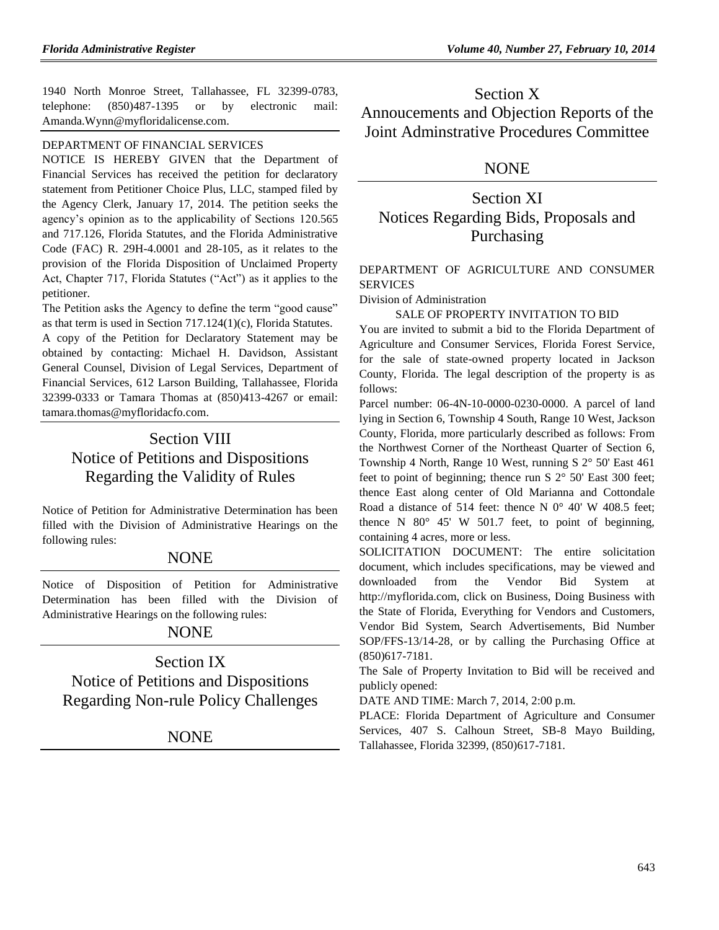1940 North Monroe Street, Tallahassee, FL 32399-0783, telephone: (850)487-1395 or by electronic mail: [Amanda.Wynn@myfloridalicense.com.](mailto:Amanda.Wynn@myfloridalicense.com)

## [DEPARTMENT OF FINANCIAL SERVICES](https://www.flrules.org/gateway/department.asp?id=69)

NOTICE IS HEREBY GIVEN that the Department of Financial Services has received the petition for declaratory statement from Petitioner Choice Plus, LLC, stamped filed by the Agency Clerk, January 17, 2014. The petition seeks the agency's opinion as to the applicability of Sections 120.565 and 717.126, Florida Statutes, and the Florida Administrative Code (FAC) R. 29H-4.0001 and 28-105, as it relates to the provision of the Florida Disposition of Unclaimed Property Act, Chapter 717, Florida Statutes ("Act") as it applies to the petitioner.

The Petition asks the Agency to define the term "good cause" as that term is used in Section 717.124(1)(c), Florida Statutes.

A copy of the Petition for Declaratory Statement may be obtained by contacting: Michael H. Davidson, Assistant General Counsel, Division of Legal Services, Department of Financial Services, 612 Larson Building, Tallahassee, Florida 32399-0333 or Tamara Thomas at (850)413-4267 or email: [tamara.thomas@myfloridacfo.com.](mailto:tamara.thomas@myfloridacfo.com)

# Section VIII Notice of Petitions and Dispositions Regarding the Validity of Rules

Notice of Petition for Administrative Determination has been filled with the Division of Administrative Hearings on the following rules:

## **NONE**

Notice of Disposition of Petition for Administrative Determination has been filled with the Division of Administrative Hearings on the following rules:

## NONE

# Section IX Notice of Petitions and Dispositions Regarding Non-rule Policy Challenges

## **NONE**

Section X Annoucements and Objection Reports of the Joint Adminstrative Procedures Committee

## NONE

Section XI Notices Regarding Bids, Proposals and Purchasing

## [DEPARTMENT OF AGRICULTURE AND CONSUMER](https://www.flrules.org/gateway/department.asp?id=5)  [SERVICES](https://www.flrules.org/gateway/department.asp?id=5)

[Division of Administration](https://www.flrules.org/gateway/organization.asp?id=161)

#### SALE OF PROPERTY INVITATION TO BID

You are invited to submit a bid to the Florida Department of Agriculture and Consumer Services, Florida Forest Service, for the sale of state-owned property located in Jackson County, Florida. The legal description of the property is as follows:

Parcel number: 06-4N-10-0000-0230-0000. A parcel of land lying in Section 6, Township 4 South, Range 10 West, Jackson County, Florida, more particularly described as follows: From the Northwest Corner of the Northeast Quarter of Section 6, Township 4 North, Range 10 West, running S 2° 50' East 461 feet to point of beginning; thence run S 2° 50' East 300 feet; thence East along center of Old Marianna and Cottondale Road a distance of 514 feet: thence N  $0^{\circ}$  40' W 408.5 feet; thence N 80° 45' W 501.7 feet, to point of beginning, containing 4 acres, more or less.

SOLICITATION DOCUMENT: The entire solicitation document, which includes specifications, may be viewed and downloaded from the Vendor Bid System at [http://myflorida.com,](http://myflorida.com/) click on Business, Doing Business with the State of Florida, Everything for Vendors and Customers, Vendor Bid System, Search Advertisements, Bid Number SOP/FFS-13/14-28, or by calling the Purchasing Office at (850)617-7181.

The Sale of Property Invitation to Bid will be received and publicly opened:

DATE AND TIME: March 7, 2014, 2:00 p.m.

PLACE: Florida Department of Agriculture and Consumer Services, 407 S. Calhoun Street, SB-8 Mayo Building, Tallahassee, Florida 32399, (850)617-7181.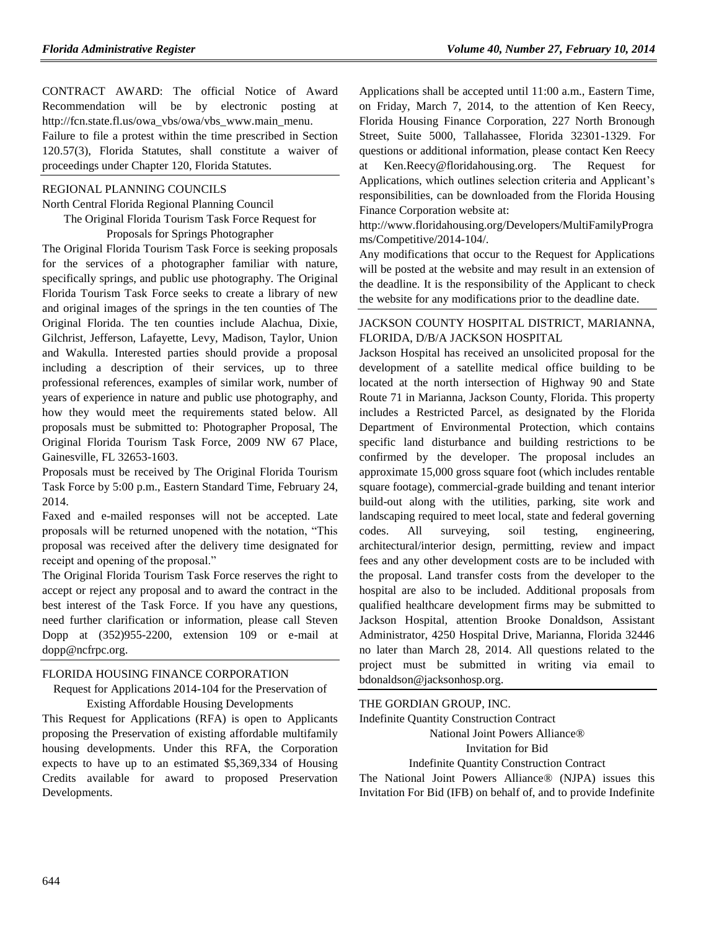CONTRACT AWARD: The official Notice of Award Recommendation will be by electronic posting at [http://fcn.state.fl.us/owa\\_vbs/owa/vbs\\_www.main\\_menu.](http://fcn.state.fl.us/owa_vbs/owa/vbs_www.main_menu)  Failure to file a protest within the time prescribed in Section 120.57(3), Florida Statutes, shall constitute a waiver of proceedings under Chapter 120, Florida Statutes.

#### [REGIONAL PLANNING COUNCILS](https://www.flrules.org/gateway/department.asp?id=29)

[North Central Florida Regional Planning Council](https://www.flrules.org/gateway/organization.asp?id=59) The Original Florida Tourism Task Force Request for Proposals for Springs Photographer

The Original Florida Tourism Task Force is seeking proposals for the services of a photographer familiar with nature, specifically springs, and public use photography. The Original Florida Tourism Task Force seeks to create a library of new and original images of the springs in the ten counties of The Original Florida. The ten counties include Alachua, Dixie, Gilchrist, Jefferson, Lafayette, Levy, Madison, Taylor, Union and Wakulla. Interested parties should provide a proposal including a description of their services, up to three professional references, examples of similar work, number of years of experience in nature and public use photography, and how they would meet the requirements stated below. All proposals must be submitted to: Photographer Proposal, The Original Florida Tourism Task Force, 2009 NW 67 Place, Gainesville, FL 32653-1603.

Proposals must be received by The Original Florida Tourism Task Force by 5:00 p.m., Eastern Standard Time, February 24, 2014.

Faxed and e-mailed responses will not be accepted. Late proposals will be returned unopened with the notation, "This proposal was received after the delivery time designated for receipt and opening of the proposal."

The Original Florida Tourism Task Force reserves the right to accept or reject any proposal and to award the contract in the best interest of the Task Force. If you have any questions, need further clarification or information, please call Steven Dopp at (352)955-2200, extension 109 or e-mail at [dopp@ncfrpc.org.](mailto:dopp@ncfrpc.org)

#### [FLORIDA HOUSING FINANCE CORPORATION](https://www.flrules.org/gateway/department.asp?id=67)

## Request for Applications 2014-104 for the Preservation of Existing Affordable Housing Developments

This Request for Applications (RFA) is open to Applicants proposing the Preservation of existing affordable multifamily housing developments. Under this RFA, the Corporation expects to have up to an estimated \$5,369,334 of Housing Credits available for award to proposed Preservation Developments.

Applications shall be accepted until 11:00 a.m., Eastern Time, on Friday, March 7, 2014, to the attention of Ken Reecy, Florida Housing Finance Corporation, 227 North Bronough Street, Suite 5000, Tallahassee, Florida 32301-1329. For questions or additional information, please contact Ken Reecy at [Ken.Reecy@floridahousing.org.](mailto:Ken.Reecy@floridahousing.org) The Request for Applications, which outlines selection criteria and Applicant's responsibilities, can be downloaded from the Florida Housing Finance Corporation website at:

[http://www.floridahousing.org/Developers/MultiFamilyProgra](http://www.floridahousing.org/Developers/MultiFamilyPrograms/Competitive/2014-104/) [ms/Competitive/2014-104/.](http://www.floridahousing.org/Developers/MultiFamilyPrograms/Competitive/2014-104/)

Any modifications that occur to the Request for Applications will be posted at the website and may result in an extension of the deadline. It is the responsibility of the Applicant to check the website for any modifications prior to the deadline date.

### [JACKSON COUNTY HOSPITAL DISTRICT, MARIANNA,](https://www.flrules.org/gateway/organization.asp?id=1123)  [FLORIDA, D/B/A JACKSON HOSPITAL](https://www.flrules.org/gateway/organization.asp?id=1123)

Jackson Hospital has received an unsolicited proposal for the development of a satellite medical office building to be located at the north intersection of Highway 90 and State Route 71 in Marianna, Jackson County, Florida. This property includes a Restricted Parcel, as designated by the Florida Department of Environmental Protection, which contains specific land disturbance and building restrictions to be confirmed by the developer. The proposal includes an approximate 15,000 gross square foot (which includes rentable square footage), commercial-grade building and tenant interior build-out along with the utilities, parking, site work and landscaping required to meet local, state and federal governing codes. All surveying, soil testing, engineering, architectural/interior design, permitting, review and impact fees and any other development costs are to be included with the proposal. Land transfer costs from the developer to the hospital are also to be included. Additional proposals from qualified healthcare development firms may be submitted to Jackson Hospital, attention Brooke Donaldson, Assistant Administrator, 4250 Hospital Drive, Marianna, Florida 32446 no later than March 28, 2014. All questions related to the project must be submitted in writing via email to bdonaldson@jacksonhosp.org.

[THE GORDIAN GROUP, INC.](https://www.flrules.org/gateway/organization.asp?id=1160)

Indefinite Quantity Construction Contract

National Joint Powers Alliance®

Invitation for Bid

Indefinite Quantity Construction Contract

The National Joint Powers Alliance® (NJPA) issues this Invitation For Bid (IFB) on behalf of, and to provide Indefinite